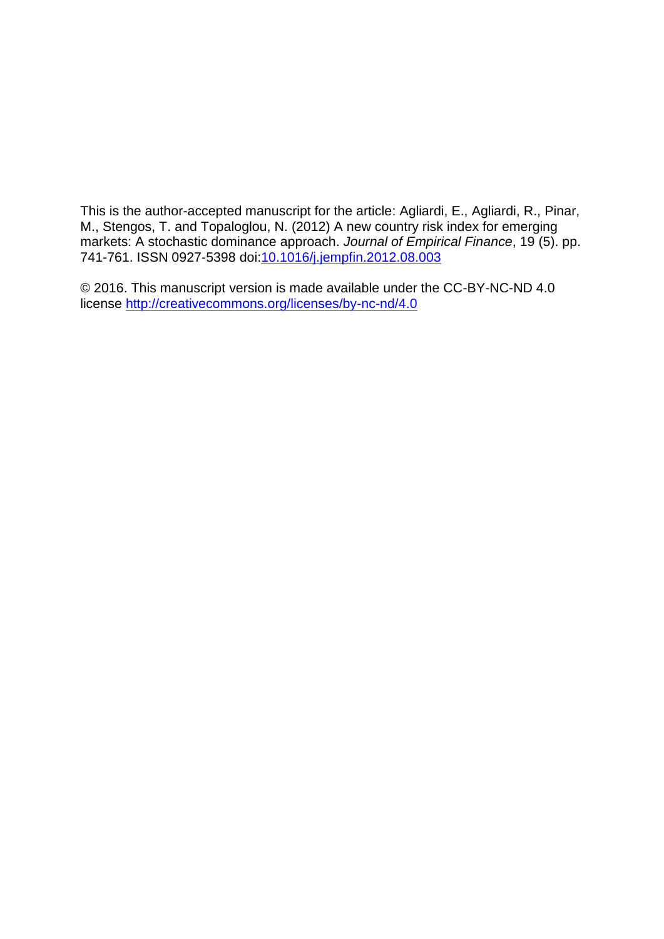This is the author-accepted manuscript for the article: Agliardi, E., Agliardi, R., Pinar, M., Stengos, T. and Topaloglou, N. (2012) A [new country risk index for emerging](http://repository.edgehill.ac.uk/4893/)  [markets: A stochastic dominance approach.](http://repository.edgehill.ac.uk/4893/) *Journal of Empirical Finance*, 19 (5). pp. 741-761. ISSN 0927-5398 doi[:10.1016/j.jempfin.2012.08.003](http://dx.doi.org/10.1016/j.jempfin.2012.08.003)

© 2016. This manuscript version is made available under the CC-BY-NC-ND 4.0 license<http://creativecommons.org/licenses/by-nc-nd/4.0>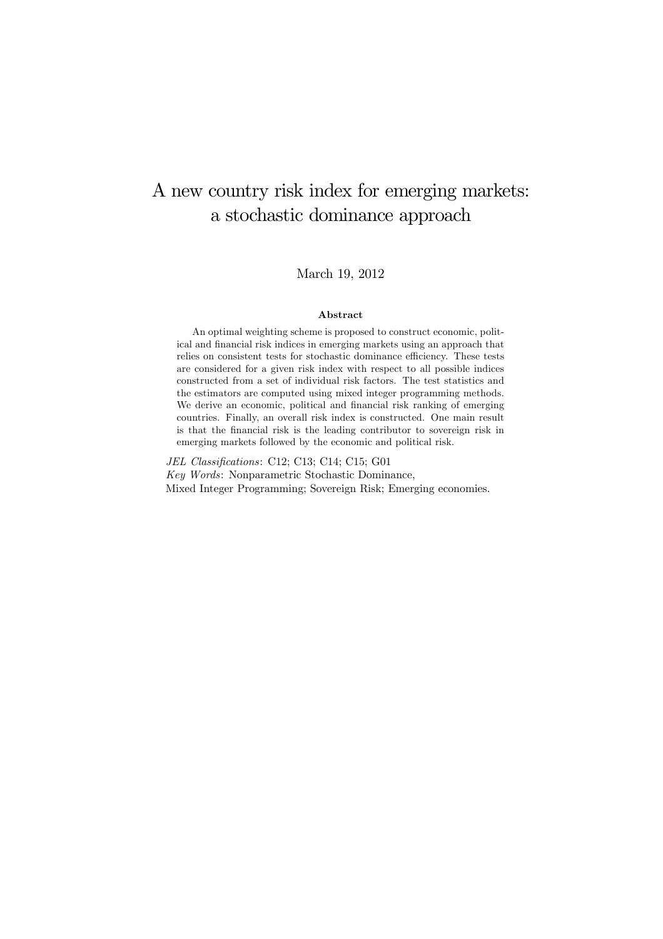# A new country risk index for emerging markets: a stochastic dominance approach

March 19, 2012

#### Abstract

An optimal weighting scheme is proposed to construct economic, political and financial risk indices in emerging markets using an approach that relies on consistent tests for stochastic dominance efficiency. These tests are considered for a given risk index with respect to all possible indices constructed from a set of individual risk factors. The test statistics and the estimators are computed using mixed integer programming methods. We derive an economic, political and financial risk ranking of emerging countries. Finally, an overall risk index is constructed. One main result is that the financial risk is the leading contributor to sovereign risk in emerging markets followed by the economic and political risk.

JEL Classifications: C12; C13; C14; C15; G01 Key Words: Nonparametric Stochastic Dominance, Mixed Integer Programming; Sovereign Risk; Emerging economies.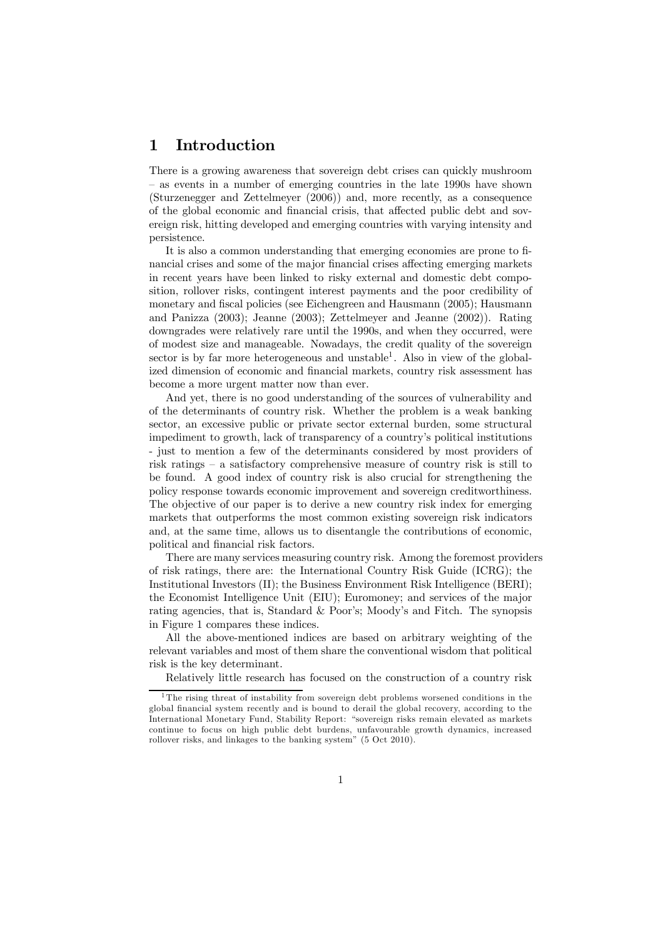### 1 Introduction

There is a growing awareness that sovereign debt crises can quickly mushroom — as events in a number of emerging countries in the late 1990s have shown (Sturzenegger and Zettelmeyer (2006)) and, more recently, as a consequence of the global economic and financial crisis, that affected public debt and sovereign risk, hitting developed and emerging countries with varying intensity and persistence.

It is also a common understanding that emerging economies are prone to financial crises and some of the major financial crises affecting emerging markets in recent years have been linked to risky external and domestic debt composition, rollover risks, contingent interest payments and the poor credibility of monetary and fiscal policies (see Eichengreen and Hausmann (2005); Hausmann and Panizza (2003); Jeanne (2003); Zettelmeyer and Jeanne (2002)). Rating downgrades were relatively rare until the 1990s, and when they occurred, were of modest size and manageable. Nowadays, the credit quality of the sovereign sector is by far more heterogeneous and unstable<sup>1</sup>. Also in view of the globalized dimension of economic and financial markets, country risk assessment has become a more urgent matter now than ever.

And yet, there is no good understanding of the sources of vulnerability and of the determinants of country risk. Whether the problem is a weak banking sector, an excessive public or private sector external burden, some structural impediment to growth, lack of transparency of a country's political institutions - just to mention a few of the determinants considered by most providers of risk ratings — a satisfactory comprehensive measure of country risk is still to be found. A good index of country risk is also crucial for strengthening the policy response towards economic improvement and sovereign creditworthiness. The objective of our paper is to derive a new country risk index for emerging markets that outperforms the most common existing sovereign risk indicators and, at the same time, allows us to disentangle the contributions of economic, political and financial risk factors.

There are many services measuring country risk. Among the foremost providers of risk ratings, there are: the International Country Risk Guide (ICRG); the Institutional Investors (II); the Business Environment Risk Intelligence (BERI); the Economist Intelligence Unit (EIU); Euromoney; and services of the major rating agencies, that is, Standard & Poor's; Moody's and Fitch. The synopsis in Figure 1 compares these indices.

All the above-mentioned indices are based on arbitrary weighting of the relevant variables and most of them share the conventional wisdom that political risk is the key determinant.

Relatively little research has focused on the construction of a country risk

<sup>&</sup>lt;sup>1</sup>The rising threat of instability from sovereign debt problems worsened conditions in the global financial system recently and is bound to derail the global recovery, according to the International Monetary Fund, Stability Report: "sovereign risks remain elevated as markets continue to focus on high public debt burdens, unfavourable growth dynamics, increased rollover risks, and linkages to the banking system" (5 Oct 2010).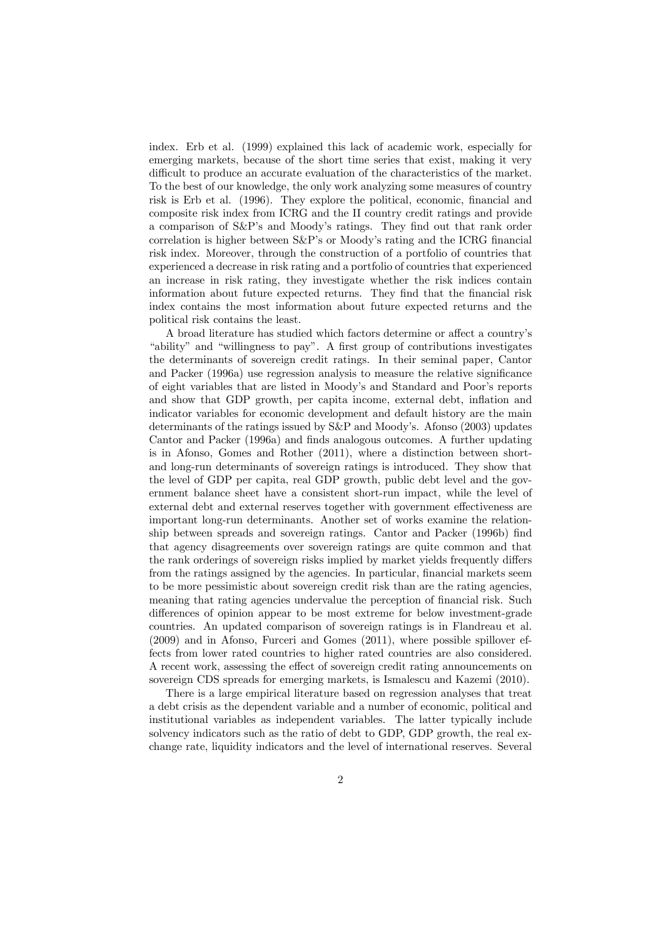index. Erb et al. (1999) explained this lack of academic work, especially for emerging markets, because of the short time series that exist, making it very difficult to produce an accurate evaluation of the characteristics of the market. To the best of our knowledge, the only work analyzing some measures of country risk is Erb et al. (1996). They explore the political, economic, financial and composite risk index from ICRG and the II country credit ratings and provide a comparison of S&P's and Moody's ratings. They find out that rank order correlation is higher between S&P's or Moody's rating and the ICRG financial risk index. Moreover, through the construction of a portfolio of countries that experienced a decrease in risk rating and a portfolio of countries that experienced an increase in risk rating, they investigate whether the risk indices contain information about future expected returns. They find that the financial risk index contains the most information about future expected returns and the political risk contains the least.

A broad literature has studied which factors determine or affect a country's "ability" and "willingness to pay". A first group of contributions investigates the determinants of sovereign credit ratings. In their seminal paper, Cantor and Packer (1996a) use regression analysis to measure the relative significance of eight variables that are listed in Moody's and Standard and Poor's reports and show that GDP growth, per capita income, external debt, inflation and indicator variables for economic development and default history are the main determinants of the ratings issued by S&P and Moody's. Afonso (2003) updates Cantor and Packer (1996a) and finds analogous outcomes. A further updating is in Afonso, Gomes and Rother (2011), where a distinction between shortand long-run determinants of sovereign ratings is introduced. They show that the level of GDP per capita, real GDP growth, public debt level and the government balance sheet have a consistent short-run impact, while the level of external debt and external reserves together with government effectiveness are important long-run determinants. Another set of works examine the relationship between spreads and sovereign ratings. Cantor and Packer (1996b) find that agency disagreements over sovereign ratings are quite common and that the rank orderings of sovereign risks implied by market yields frequently differs from the ratings assigned by the agencies. In particular, financial markets seem to be more pessimistic about sovereign credit risk than are the rating agencies, meaning that rating agencies undervalue the perception of financial risk. Such differences of opinion appear to be most extreme for below investment-grade countries. An updated comparison of sovereign ratings is in Flandreau et al. (2009) and in Afonso, Furceri and Gomes (2011), where possible spillover effects from lower rated countries to higher rated countries are also considered. A recent work, assessing the effect of sovereign credit rating announcements on sovereign CDS spreads for emerging markets, is Ismalescu and Kazemi (2010).

There is a large empirical literature based on regression analyses that treat a debt crisis as the dependent variable and a number of economic, political and institutional variables as independent variables. The latter typically include solvency indicators such as the ratio of debt to GDP, GDP growth, the real exchange rate, liquidity indicators and the level of international reserves. Several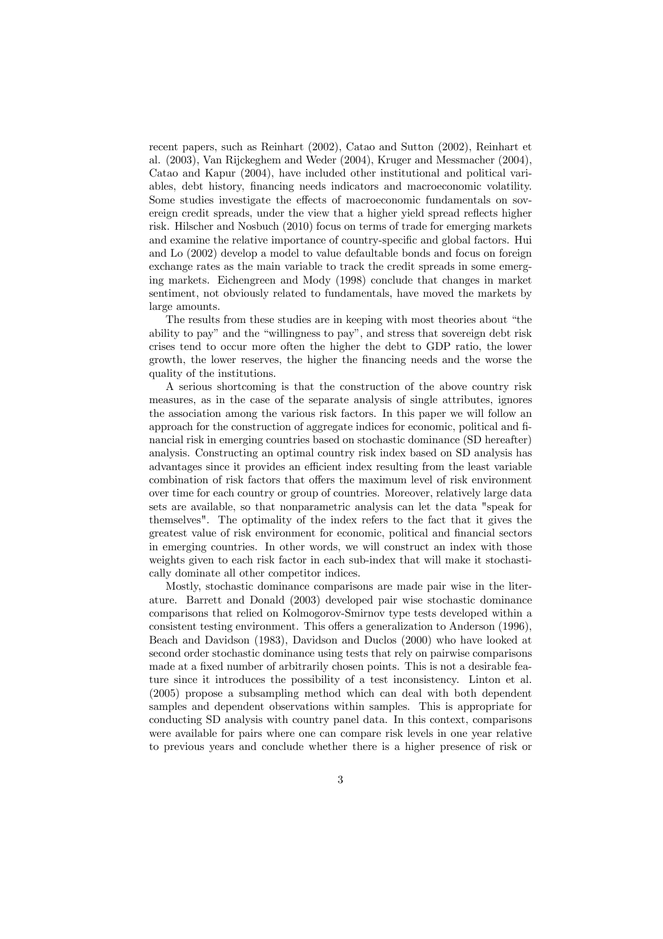recent papers, such as Reinhart (2002), Catao and Sutton (2002), Reinhart et al. (2003), Van Rijckeghem and Weder (2004), Kruger and Messmacher (2004), Catao and Kapur (2004), have included other institutional and political variables, debt history, financing needs indicators and macroeconomic volatility. Some studies investigate the effects of macroeconomic fundamentals on sovereign credit spreads, under the view that a higher yield spread reflects higher risk. Hilscher and Nosbuch (2010) focus on terms of trade for emerging markets and examine the relative importance of country-specific and global factors. Hui and Lo (2002) develop a model to value defaultable bonds and focus on foreign exchange rates as the main variable to track the credit spreads in some emerging markets. Eichengreen and Mody (1998) conclude that changes in market sentiment, not obviously related to fundamentals, have moved the markets by large amounts.

The results from these studies are in keeping with most theories about "the ability to pay" and the "willingness to pay", and stress that sovereign debt risk crises tend to occur more often the higher the debt to GDP ratio, the lower growth, the lower reserves, the higher the financing needs and the worse the quality of the institutions.

A serious shortcoming is that the construction of the above country risk measures, as in the case of the separate analysis of single attributes, ignores the association among the various risk factors. In this paper we will follow an approach for the construction of aggregate indices for economic, political and financial risk in emerging countries based on stochastic dominance (SD hereafter) analysis. Constructing an optimal country risk index based on SD analysis has advantages since it provides an efficient index resulting from the least variable combination of risk factors that offers the maximum level of risk environment over time for each country or group of countries. Moreover, relatively large data sets are available, so that nonparametric analysis can let the data "speak for themselves". The optimality of the index refers to the fact that it gives the greatest value of risk environment for economic, political and financial sectors in emerging countries. In other words, we will construct an index with those weights given to each risk factor in each sub-index that will make it stochastically dominate all other competitor indices.

Mostly, stochastic dominance comparisons are made pair wise in the literature. Barrett and Donald (2003) developed pair wise stochastic dominance comparisons that relied on Kolmogorov-Smirnov type tests developed within a consistent testing environment. This offers a generalization to Anderson (1996), Beach and Davidson (1983), Davidson and Duclos (2000) who have looked at second order stochastic dominance using tests that rely on pairwise comparisons made at a fixed number of arbitrarily chosen points. This is not a desirable feature since it introduces the possibility of a test inconsistency. Linton et al. (2005) propose a subsampling method which can deal with both dependent samples and dependent observations within samples. This is appropriate for conducting SD analysis with country panel data. In this context, comparisons were available for pairs where one can compare risk levels in one year relative to previous years and conclude whether there is a higher presence of risk or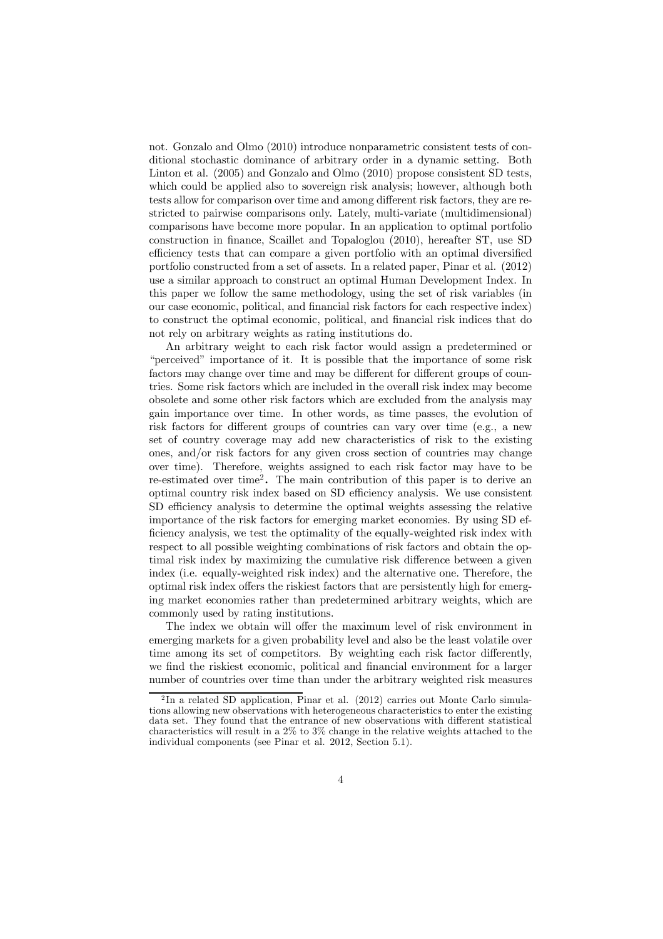not. Gonzalo and Olmo (2010) introduce nonparametric consistent tests of conditional stochastic dominance of arbitrary order in a dynamic setting. Both Linton et al. (2005) and Gonzalo and Olmo (2010) propose consistent SD tests, which could be applied also to sovereign risk analysis; however, although both tests allow for comparison over time and among different risk factors, they are restricted to pairwise comparisons only. Lately, multi-variate (multidimensional) comparisons have become more popular. In an application to optimal portfolio construction in finance, Scaillet and Topaloglou (2010), hereafter ST, use SD efficiency tests that can compare a given portfolio with an optimal diversified portfolio constructed from a set of assets. In a related paper, Pinar et al. (2012) use a similar approach to construct an optimal Human Development Index. In this paper we follow the same methodology, using the set of risk variables (in our case economic, political, and financial risk factors for each respective index) to construct the optimal economic, political, and financial risk indices that do not rely on arbitrary weights as rating institutions do.

An arbitrary weight to each risk factor would assign a predetermined or "perceived" importance of it. It is possible that the importance of some risk factors may change over time and may be different for different groups of countries. Some risk factors which are included in the overall risk index may become obsolete and some other risk factors which are excluded from the analysis may gain importance over time. In other words, as time passes, the evolution of risk factors for different groups of countries can vary over time (e.g., a new set of country coverage may add new characteristics of risk to the existing ones, and/or risk factors for any given cross section of countries may change over time). Therefore, weights assigned to each risk factor may have to be re-estimated over time<sup>2</sup>. The main contribution of this paper is to derive an optimal country risk index based on SD efficiency analysis. We use consistent SD efficiency analysis to determine the optimal weights assessing the relative importance of the risk factors for emerging market economies. By using SD efficiency analysis, we test the optimality of the equally-weighted risk index with respect to all possible weighting combinations of risk factors and obtain the optimal risk index by maximizing the cumulative risk difference between a given index (i.e. equally-weighted risk index) and the alternative one. Therefore, the optimal risk index offers the riskiest factors that are persistently high for emerging market economies rather than predetermined arbitrary weights, which are commonly used by rating institutions.

The index we obtain will offer the maximum level of risk environment in emerging markets for a given probability level and also be the least volatile over time among its set of competitors. By weighting each risk factor differently, we find the riskiest economic, political and financial environment for a larger number of countries over time than under the arbitrary weighted risk measures

 $2$ In a related SD application, Pinar et al. (2012) carries out Monte Carlo simulations allowing new observations with heterogeneous characteristics to enter the existing data set. They found that the entrance of new observations with different statistical characteristics will result in a 2% to 3% change in the relative weights attached to the individual components (see Pinar et al. 2012, Section 5.1).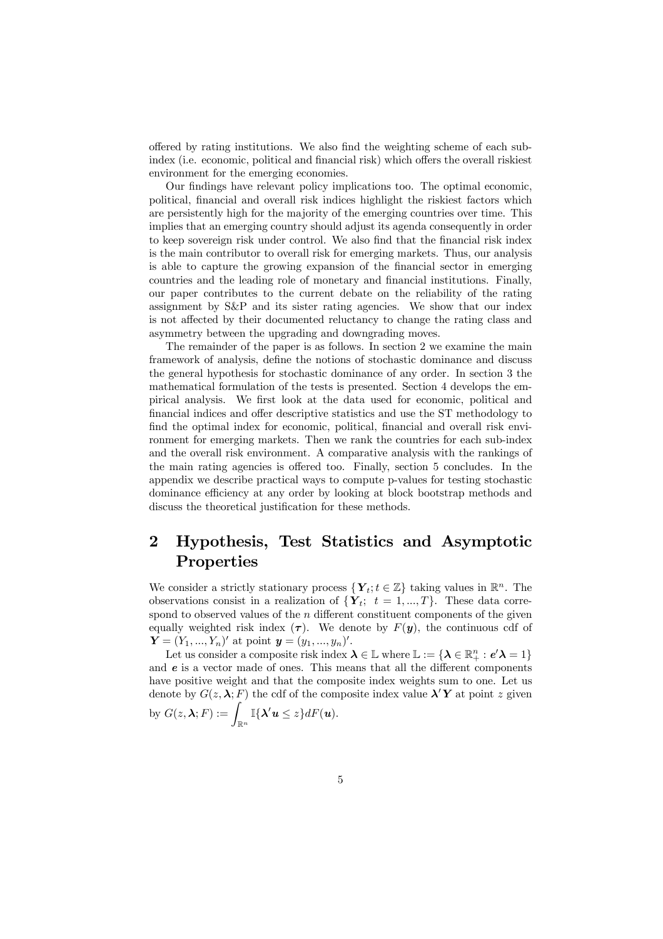offered by rating institutions. We also find the weighting scheme of each subindex (i.e. economic, political and financial risk) which offers the overall riskiest environment for the emerging economies.

Our findings have relevant policy implications too. The optimal economic, political, financial and overall risk indices highlight the riskiest factors which are persistently high for the majority of the emerging countries over time. This implies that an emerging country should adjust its agenda consequently in order to keep sovereign risk under control. We also find that the financial risk index is the main contributor to overall risk for emerging markets. Thus, our analysis is able to capture the growing expansion of the financial sector in emerging countries and the leading role of monetary and financial institutions. Finally, our paper contributes to the current debate on the reliability of the rating assignment by S&P and its sister rating agencies. We show that our index is not affected by their documented reluctancy to change the rating class and asymmetry between the upgrading and downgrading moves.

The remainder of the paper is as follows. In section 2 we examine the main framework of analysis, define the notions of stochastic dominance and discuss the general hypothesis for stochastic dominance of any order. In section 3 the mathematical formulation of the tests is presented. Section 4 develops the empirical analysis. We first look at the data used for economic, political and financial indices and offer descriptive statistics and use the ST methodology to find the optimal index for economic, political, financial and overall risk environment for emerging markets. Then we rank the countries for each sub-index and the overall risk environment. A comparative analysis with the rankings of the main rating agencies is offered too. Finally, section 5 concludes. In the appendix we describe practical ways to compute p-values for testing stochastic dominance efficiency at any order by looking at block bootstrap methods and discuss the theoretical justification for these methods.

# 2 Hypothesis, Test Statistics and Asymptotic Properties

We consider a strictly stationary process  $\{Y_t, t \in \mathbb{Z}\}\)$  taking values in  $\mathbb{R}^n$ . The observations consist in a realization of  $\{Y_t; t = 1, ..., T\}$ . These data correspond to observed values of the  $n$  different constituent components of the given equally weighted risk index  $(\tau)$ . We denote by  $F(y)$ , the continuous cdf of  $\mathbf{Y} = (Y_1, ..., Y_n)'$  at point  $\mathbf{y} = (y_1, ..., y_n)'$ .

Let us consider a composite risk index  $\lambda \in \mathbb{L}$  where  $\mathbb{L} := \{ \lambda \in \mathbb{R}_+^n : e' \lambda = 1 \}$ and  $e$  is a vector made of ones. This means that all the different components have positive weight and that the composite index weights sum to one. Let us denote by  $G(z, \lambda; F)$  the cdf of the composite index value  $\lambda' Y$  at point z given by  $G(z, \lambda; F) :=$  $\iint_{\mathbb{R}^n} \mathbb{I}\{\lambda' \boldsymbol{u} \leq z\} dF(\boldsymbol{u}).$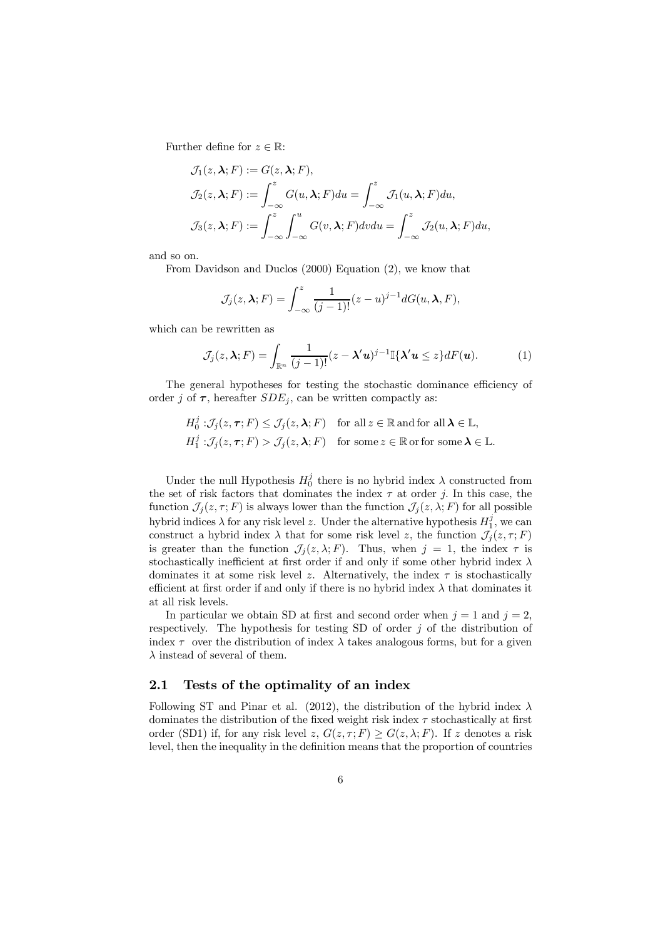Further define for  $z \in \mathbb{R}$ :

$$
\mathcal{J}_1(z,\lambda;F) := G(z,\lambda;F),
$$
  
\n
$$
\mathcal{J}_2(z,\lambda;F) := \int_{-\infty}^z G(u,\lambda;F) du = \int_{-\infty}^z \mathcal{J}_1(u,\lambda;F) du,
$$
  
\n
$$
\mathcal{J}_3(z,\lambda;F) := \int_{-\infty}^z \int_{-\infty}^u G(v,\lambda;F) dv du = \int_{-\infty}^z \mathcal{J}_2(u,\lambda;F) du,
$$

and so on.

From Davidson and Duclos (2000) Equation (2), we know that

$$
\mathcal{J}_j(z,\lambda;F) = \int_{-\infty}^z \frac{1}{(j-1)!} (z-u)^{j-1} dG(u,\lambda,F),
$$

which can be rewritten as

$$
\mathcal{J}_j(z,\boldsymbol{\lambda};F) = \int_{\mathbb{R}^n} \frac{1}{(j-1)!} (z - \boldsymbol{\lambda}'\boldsymbol{u})^{j-1} \mathbb{I}\{\boldsymbol{\lambda}'\boldsymbol{u} \leq z\} dF(\boldsymbol{u}). \tag{1}
$$

The general hypotheses for testing the stochastic dominance efficiency of order j of  $\tau$ , hereafter  $SDE_i$ , can be written compactly as:

$$
H_0^j: \mathcal{J}_j(z, \tau; F) \leq \mathcal{J}_j(z, \lambda; F) \quad \text{for all } z \in \mathbb{R} \text{ and for all } \lambda \in \mathbb{L},
$$
  

$$
H_1^j: \mathcal{J}_j(z, \tau; F) > \mathcal{J}_j(z, \lambda; F) \quad \text{for some } z \in \mathbb{R} \text{ or for some } \lambda \in \mathbb{L}.
$$

Under the null Hypothesis  $H_0^j$  there is no hybrid index  $\lambda$  constructed from the set of risk factors that dominates the index  $\tau$  at order j. In this case, the function  $\mathcal{J}_j(z,\tau;F)$  is always lower than the function  $\mathcal{J}_j(z,\lambda;F)$  for all possible hybrid indices  $\lambda$  for any risk level z. Under the alternative hypothesis  $H_1^j$ , we can construct a hybrid index  $\lambda$  that for some risk level z, the function  $\mathcal{J}_j(z,\tau;F)$ is greater than the function  $\mathcal{J}_i(z,\lambda;F)$ . Thus, when  $j=1$ , the index  $\tau$  is stochastically inefficient at first order if and only if some other hybrid index  $\lambda$ dominates it at some risk level z. Alternatively, the index  $\tau$  is stochastically efficient at first order if and only if there is no hybrid index  $\lambda$  that dominates it at all risk levels.

In particular we obtain SD at first and second order when  $j = 1$  and  $j = 2$ , respectively. The hypothesis for testing SD of order  $j$  of the distribution of index  $\tau$  over the distribution of index  $\lambda$  takes analogous forms, but for a given  $\lambda$  instead of several of them.

#### 2.1 Tests of the optimality of an index

Following ST and Pinar et al. (2012), the distribution of the hybrid index  $\lambda$ dominates the distribution of the fixed weight risk index  $\tau$  stochastically at first order (SD1) if, for any risk level z,  $G(z, \tau; F) \geq G(z, \lambda; F)$ . If z denotes a risk level, then the inequality in the definition means that the proportion of countries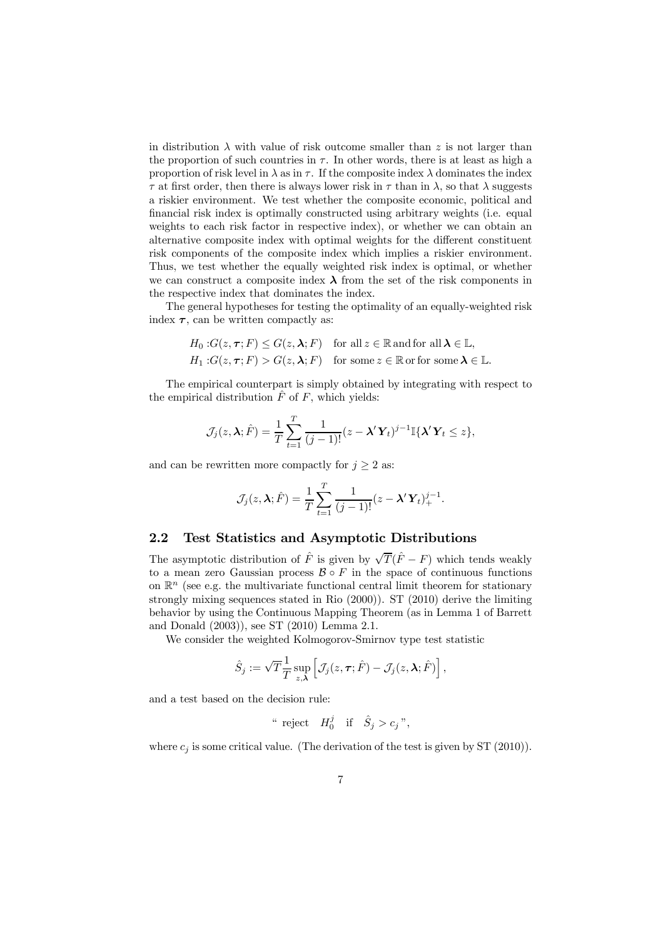in distribution  $\lambda$  with value of risk outcome smaller than z is not larger than the proportion of such countries in  $\tau$ . In other words, there is at least as high a proportion of risk level in  $\lambda$  as in  $\tau$ . If the composite index  $\lambda$  dominates the index  $\tau$  at first order, then there is always lower risk in  $\tau$  than in  $\lambda$ , so that  $\lambda$  suggests a riskier environment. We test whether the composite economic, political and financial risk index is optimally constructed using arbitrary weights (i.e. equal weights to each risk factor in respective index), or whether we can obtain an alternative composite index with optimal weights for the different constituent risk components of the composite index which implies a riskier environment. Thus, we test whether the equally weighted risk index is optimal, or whether we can construct a composite index  $\lambda$  from the set of the risk components in the respective index that dominates the index.

The general hypotheses for testing the optimality of an equally-weighted risk index  $\tau$ , can be written compactly as:

$$
H_0: G(z, \tau; F) \le G(z, \lambda; F) \quad \text{for all } z \in \mathbb{R} \text{ and for all } \lambda \in \mathbb{L},
$$
  

$$
H_1: G(z, \tau; F) > G(z, \lambda; F) \quad \text{for some } z \in \mathbb{R} \text{ or for some } \lambda \in \mathbb{L}.
$$

The empirical counterpart is simply obtained by integrating with respect to the empirical distribution  $\hat{F}$  of F, which yields:

$$
\mathcal{J}_j(z,\lambda;\hat{F}) = \frac{1}{T} \sum_{t=1}^T \frac{1}{(j-1)!} (z - \lambda' \mathbf{Y}_t)^{j-1} \mathbb{I}\{\lambda' \mathbf{Y}_t \leq z\},\,
$$

and can be rewritten more compactly for  $j \geq 2$  as:

$$
\mathcal{J}_j(z,\boldsymbol{\lambda};\hat{F}) = \frac{1}{T} \sum_{t=1}^T \frac{1}{(j-1)!} (z - \boldsymbol{\lambda}' \mathbf{Y}_t)_+^{j-1}.
$$

#### 2.2 Test Statistics and Asymptotic Distributions

The asymptotic distribution of  $\hat{F}$  is given by  $\sqrt{T}(\hat{F} - F)$  which tends weakly to a mean zero Gaussian process  $\mathcal{B} \circ F$  in the space of continuous functions on  $\mathbb{R}^n$  (see e.g. the multivariate functional central limit theorem for stationary strongly mixing sequences stated in Rio (2000)). ST (2010) derive the limiting behavior by using the Continuous Mapping Theorem (as in Lemma 1 of Barrett and Donald (2003)), see ST (2010) Lemma 2.1.

We consider the weighted Kolmogorov-Smirnov type test statistic

$$
\hat{S}_j := \sqrt{T} \frac{1}{T} \sup_{z,\boldsymbol{\lambda}} \left[ \mathcal{J}_j(z,\boldsymbol{\tau};\hat{F}) - \mathcal{J}_j(z,\boldsymbol{\lambda};\hat{F}) \right],
$$

and a test based on the decision rule:

" reject 
$$
H_0^j
$$
 if  $\hat{S}_j > c_j$ ",

where  $c_i$  is some critical value. (The derivation of the test is given by ST (2010)).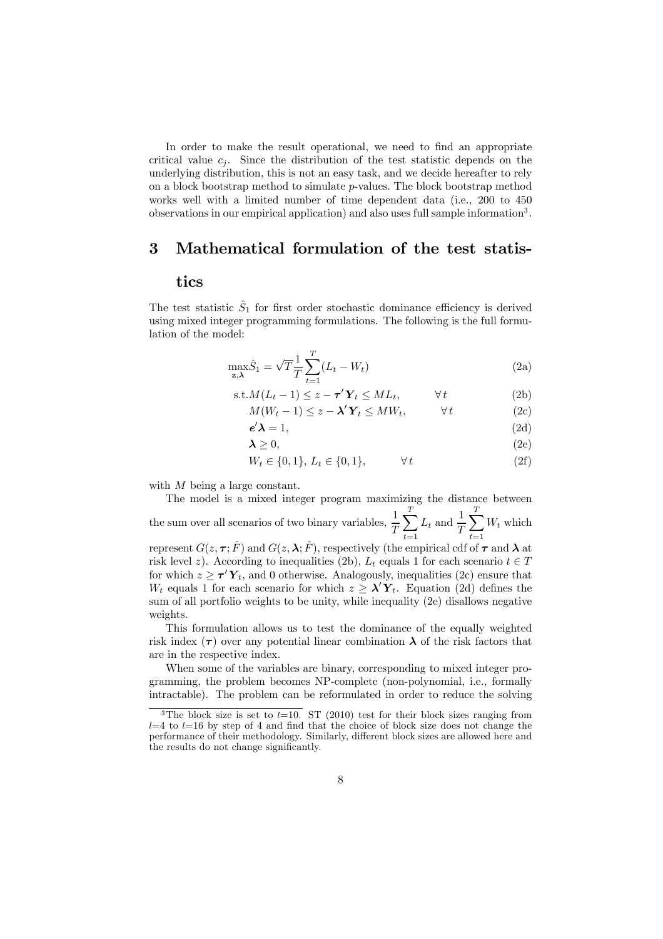In order to make the result operational, we need to find an appropriate critical value  $c_j$ . Since the distribution of the test statistic depends on the underlying distribution, this is not an easy task, and we decide hereafter to rely on a block bootstrap method to simulate  $p$ -values. The block bootstrap method works well with a limited number of time dependent data (i.e., 200 to 450 observations in our empirical application) and also uses full sample information3 .

#### 3 Mathematical formulation of the test statis-

#### tics

The test statistic  $\hat{S}_1$  for first order stochastic dominance efficiency is derived using mixed integer programming formulations. The following is the full formulation of the model:

$$
\max_{\mathbf{z}, \lambda} \hat{S}_1 = \sqrt{T} \frac{1}{T} \sum_{t=1}^T (L_t - W_t)
$$
\n(2a)

$$
\text{s.t.} M(L_t - 1) \le z - \tau' Y_t \le ML_t, \qquad \forall t \tag{2b}
$$

$$
M(W_t - 1) \le z - \lambda' Y_t \le MW_t, \qquad \forall t \tag{2c}
$$

- $e' \lambda = 1,$  (2d)
- $\lambda \geq 0,$  (2e)

$$
W_t \in \{0, 1\}, L_t \in \{0, 1\}, \qquad \forall t \tag{2f}
$$

with M being a large constant.

The model is a mixed integer program maximizing the distance between the sum over all scenarios of two binary variables,  $\frac{1}{T}$  $\sum_{i=1}^{T}$  $t=1$  $L_t$  and  $\frac{1}{T}$  $\sum_{i=1}^{T}$  $t=1$  $W_t$  which

represent  $G(z, \tau; \hat{F})$  and  $G(z, \lambda; \hat{F})$ , respectively (the empirical cdf of  $\tau$  and  $\lambda$  at risk level z). According to inequalities (2b),  $L_t$  equals 1 for each scenario  $t \in T$ for which  $z \geq \tau' Y_t$ , and 0 otherwise. Analogously, inequalities (2c) ensure that  $W_t$  equals 1 for each scenario for which  $z \geq \lambda' Y_t$ . Equation (2d) defines the sum of all portfolio weights to be unity, while inequality (2e) disallows negative weights.

This formulation allows us to test the dominance of the equally weighted risk index ( $\tau$ ) over any potential linear combination  $\lambda$  of the risk factors that are in the respective index.

When some of the variables are binary, corresponding to mixed integer programming, the problem becomes NP-complete (non-polynomial, i.e., formally intractable). The problem can be reformulated in order to reduce the solving

<sup>&</sup>lt;sup>3</sup>The block size is set to  $l=10$ . ST (2010) test for their block sizes ranging from  $l=4$  to  $l=16$  by step of 4 and find that the choice of block size does not change the performance of their methodology. Similarly, different block sizes are allowed here and the results do not change significantly.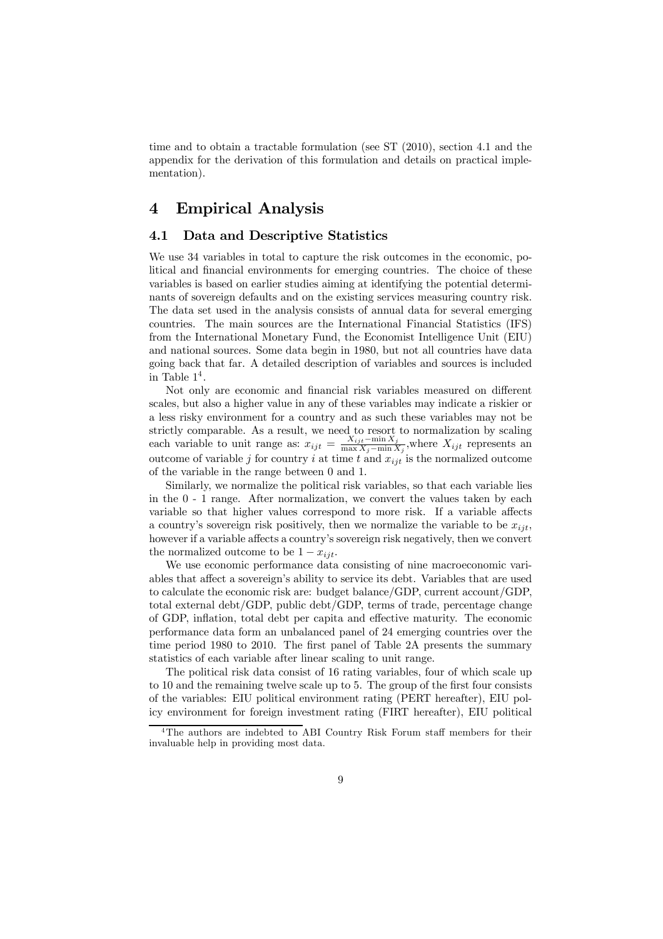time and to obtain a tractable formulation (see ST (2010), section 4.1 and the appendix for the derivation of this formulation and details on practical implementation).

#### 4 Empirical Analysis

#### 4.1 Data and Descriptive Statistics

We use 34 variables in total to capture the risk outcomes in the economic, political and financial environments for emerging countries. The choice of these variables is based on earlier studies aiming at identifying the potential determinants of sovereign defaults and on the existing services measuring country risk. The data set used in the analysis consists of annual data for several emerging countries. The main sources are the International Financial Statistics (IFS) from the International Monetary Fund, the Economist Intelligence Unit (EIU) and national sources. Some data begin in 1980, but not all countries have data going back that far. A detailed description of variables and sources is included in Table  $1<sup>4</sup>$ .

Not only are economic and financial risk variables measured on different scales, but also a higher value in any of these variables may indicate a riskier or a less risky environment for a country and as such these variables may not be strictly comparable. As a result, we need to resort to normalization by scaling each variable to unit range as:  $x_{ijt} = \frac{X_{ijt} - \min X_j}{\max X_j - \min X_j}$ , where  $X_{ijt}$  represents an outcome of variable j for country i at time t and  $x_{ijt}$  is the normalized outcome of the variable in the range between 0 and 1.

Similarly, we normalize the political risk variables, so that each variable lies in the 0 - 1 range. After normalization, we convert the values taken by each variable so that higher values correspond to more risk. If a variable affects a country's sovereign risk positively, then we normalize the variable to be  $x_{iit}$ , however if a variable affects a country's sovereign risk negatively, then we convert the normalized outcome to be  $1 - x_{ijt}$ .

We use economic performance data consisting of nine macroeconomic variables that affect a sovereign's ability to service its debt. Variables that are used to calculate the economic risk are: budget balance/GDP, current account/GDP, total external debt/GDP, public debt/GDP, terms of trade, percentage change of GDP, inflation, total debt per capita and effective maturity. The economic performance data form an unbalanced panel of 24 emerging countries over the time period 1980 to 2010. The first panel of Table 2A presents the summary statistics of each variable after linear scaling to unit range.

The political risk data consist of 16 rating variables, four of which scale up to 10 and the remaining twelve scale up to 5. The group of the first four consists of the variables: EIU political environment rating (PERT hereafter), EIU policy environment for foreign investment rating (FIRT hereafter), EIU political

<sup>&</sup>lt;sup>4</sup>The authors are indebted to ABI Country Risk Forum staff members for their invaluable help in providing most data.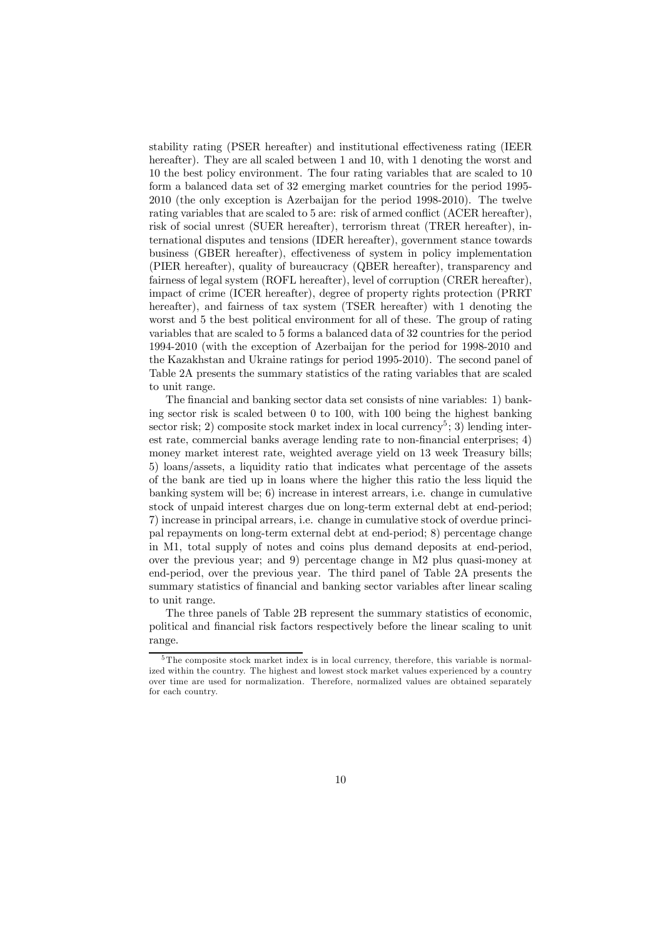stability rating (PSER hereafter) and institutional effectiveness rating (IEER hereafter). They are all scaled between 1 and 10, with 1 denoting the worst and 10 the best policy environment. The four rating variables that are scaled to 10 form a balanced data set of 32 emerging market countries for the period 1995- 2010 (the only exception is Azerbaijan for the period 1998-2010). The twelve rating variables that are scaled to 5 are: risk of armed conflict (ACER hereafter), risk of social unrest (SUER hereafter), terrorism threat (TRER hereafter), international disputes and tensions (IDER hereafter), government stance towards business (GBER hereafter), effectiveness of system in policy implementation (PIER hereafter), quality of bureaucracy (QBER hereafter), transparency and fairness of legal system (ROFL hereafter), level of corruption (CRER hereafter), impact of crime (ICER hereafter), degree of property rights protection (PRRT hereafter), and fairness of tax system (TSER hereafter) with 1 denoting the worst and 5 the best political environment for all of these. The group of rating variables that are scaled to 5 forms a balanced data of 32 countries for the period 1994-2010 (with the exception of Azerbaijan for the period for 1998-2010 and the Kazakhstan and Ukraine ratings for period 1995-2010). The second panel of Table 2A presents the summary statistics of the rating variables that are scaled to unit range.

The financial and banking sector data set consists of nine variables: 1) banking sector risk is scaled between 0 to 100, with 100 being the highest banking sector risk; 2) composite stock market index in local currency<sup>5</sup>; 3) lending interest rate, commercial banks average lending rate to non-financial enterprises; 4) money market interest rate, weighted average yield on 13 week Treasury bills; 5) loans/assets, a liquidity ratio that indicates what percentage of the assets of the bank are tied up in loans where the higher this ratio the less liquid the banking system will be; 6) increase in interest arrears, i.e. change in cumulative stock of unpaid interest charges due on long-term external debt at end-period; 7) increase in principal arrears, i.e. change in cumulative stock of overdue principal repayments on long-term external debt at end-period; 8) percentage change in M1, total supply of notes and coins plus demand deposits at end-period, over the previous year; and 9) percentage change in M2 plus quasi-money at end-period, over the previous year. The third panel of Table 2A presents the summary statistics of financial and banking sector variables after linear scaling to unit range.

The three panels of Table 2B represent the summary statistics of economic, political and financial risk factors respectively before the linear scaling to unit range.

<sup>&</sup>lt;sup>5</sup>The composite stock market index is in local currency, therefore, this variable is normalized within the country. The highest and lowest stock market values experienced by a country over time are used for normalization. Therefore, normalized values are obtained separately for each country.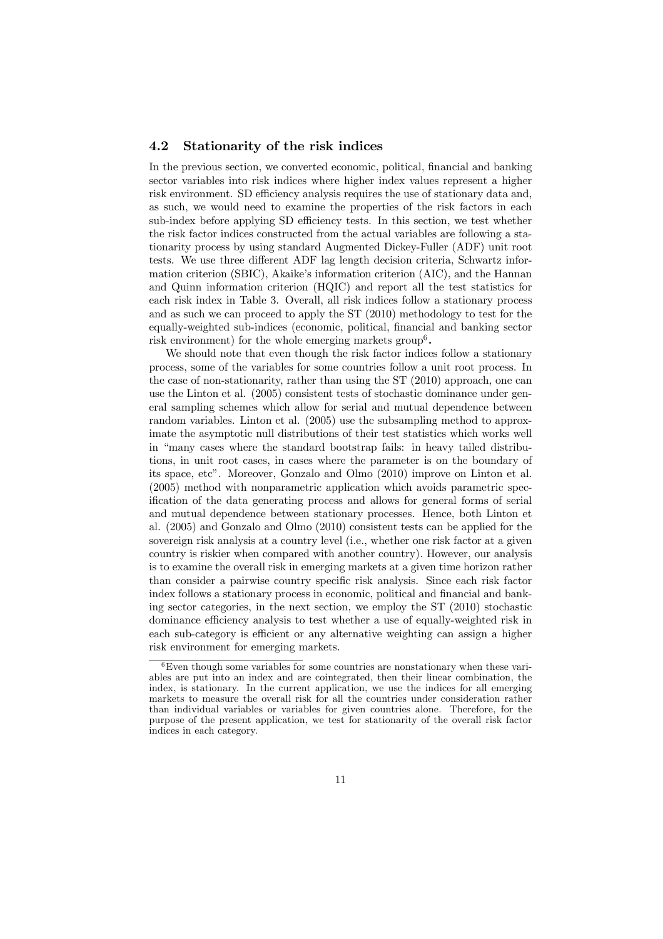#### 4.2 Stationarity of the risk indices

In the previous section, we converted economic, political, financial and banking sector variables into risk indices where higher index values represent a higher risk environment. SD efficiency analysis requires the use of stationary data and, as such, we would need to examine the properties of the risk factors in each sub-index before applying SD efficiency tests. In this section, we test whether the risk factor indices constructed from the actual variables are following a stationarity process by using standard Augmented Dickey-Fuller (ADF) unit root tests. We use three different ADF lag length decision criteria, Schwartz information criterion (SBIC), Akaike's information criterion (AIC), and the Hannan and Quinn information criterion (HQIC) and report all the test statistics for each risk index in Table 3. Overall, all risk indices follow a stationary process and as such we can proceed to apply the ST (2010) methodology to test for the equally-weighted sub-indices (economic, political, financial and banking sector risk environment) for the whole emerging markets group<sup>6</sup>.

We should note that even though the risk factor indices follow a stationary process, some of the variables for some countries follow a unit root process. In the case of non-stationarity, rather than using the ST (2010) approach, one can use the Linton et al. (2005) consistent tests of stochastic dominance under general sampling schemes which allow for serial and mutual dependence between random variables. Linton et al. (2005) use the subsampling method to approximate the asymptotic null distributions of their test statistics which works well in "many cases where the standard bootstrap fails: in heavy tailed distributions, in unit root cases, in cases where the parameter is on the boundary of its space, etc". Moreover, Gonzalo and Olmo (2010) improve on Linton et al. (2005) method with nonparametric application which avoids parametric specification of the data generating process and allows for general forms of serial and mutual dependence between stationary processes. Hence, both Linton et al. (2005) and Gonzalo and Olmo (2010) consistent tests can be applied for the sovereign risk analysis at a country level (i.e., whether one risk factor at a given country is riskier when compared with another country). However, our analysis is to examine the overall risk in emerging markets at a given time horizon rather than consider a pairwise country specific risk analysis. Since each risk factor index follows a stationary process in economic, political and financial and banking sector categories, in the next section, we employ the ST (2010) stochastic dominance efficiency analysis to test whether a use of equally-weighted risk in each sub-category is efficient or any alternative weighting can assign a higher risk environment for emerging markets.

 $6$ Even though some variables for some countries are nonstationary when these variables are put into an index and are cointegrated, then their linear combination, the index, is stationary. In the current application, we use the indices for all emerging markets to measure the overall risk for all the countries under consideration rather than individual variables or variables for given countries alone. Therefore, for the purpose of the present application, we test for stationarity of the overall risk factor indices in each category.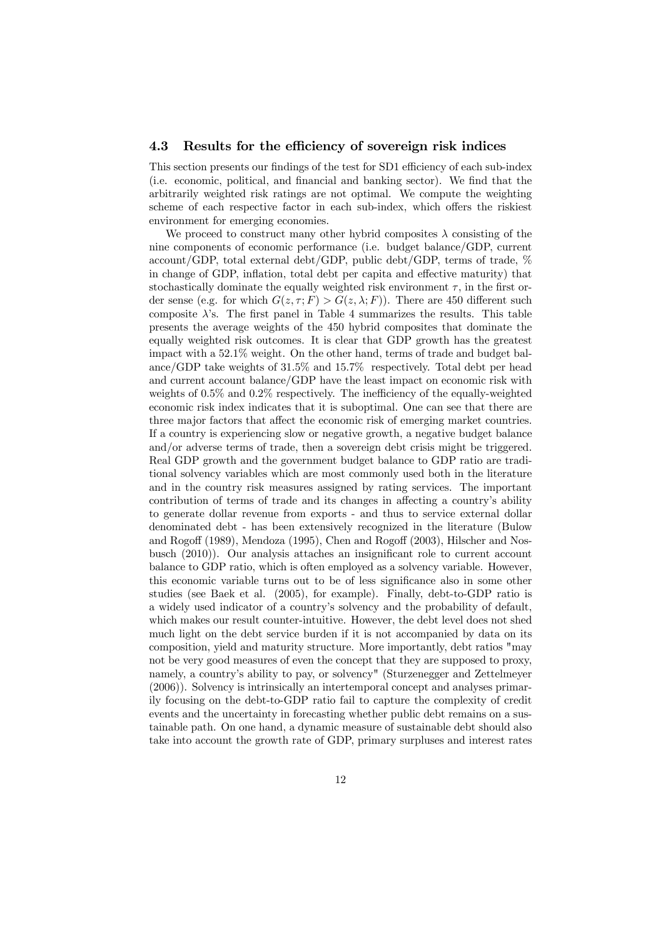#### 4.3 Results for the efficiency of sovereign risk indices

This section presents our findings of the test for SD1 efficiency of each sub-index (i.e. economic, political, and financial and banking sector). We find that the arbitrarily weighted risk ratings are not optimal. We compute the weighting scheme of each respective factor in each sub-index, which offers the riskiest environment for emerging economies.

We proceed to construct many other hybrid composites  $\lambda$  consisting of the nine components of economic performance (i.e. budget balance/GDP, current account/GDP, total external debt/GDP, public debt/GDP, terms of trade, % in change of GDP, inflation, total debt per capita and effective maturity) that stochastically dominate the equally weighted risk environment  $\tau$ , in the first order sense (e.g. for which  $G(z, \tau; F) > G(z, \lambda; F)$ ). There are 450 different such composite  $\lambda$ 's. The first panel in Table 4 summarizes the results. This table presents the average weights of the 450 hybrid composites that dominate the equally weighted risk outcomes. It is clear that GDP growth has the greatest impact with a 52.1% weight. On the other hand, terms of trade and budget balance/GDP take weights of 31.5% and 15.7% respectively. Total debt per head and current account balance/GDP have the least impact on economic risk with weights of 0.5% and 0.2% respectively. The inefficiency of the equally-weighted economic risk index indicates that it is suboptimal. One can see that there are three major factors that affect the economic risk of emerging market countries. If a country is experiencing slow or negative growth, a negative budget balance and/or adverse terms of trade, then a sovereign debt crisis might be triggered. Real GDP growth and the government budget balance to GDP ratio are traditional solvency variables which are most commonly used both in the literature and in the country risk measures assigned by rating services. The important contribution of terms of trade and its changes in affecting a country's ability to generate dollar revenue from exports - and thus to service external dollar denominated debt - has been extensively recognized in the literature (Bulow and Rogoff (1989), Mendoza (1995), Chen and Rogoff (2003), Hilscher and Nosbusch (2010)). Our analysis attaches an insignificant role to current account balance to GDP ratio, which is often employed as a solvency variable. However, this economic variable turns out to be of less significance also in some other studies (see Baek et al. (2005), for example). Finally, debt-to-GDP ratio is a widely used indicator of a country's solvency and the probability of default, which makes our result counter-intuitive. However, the debt level does not shed much light on the debt service burden if it is not accompanied by data on its composition, yield and maturity structure. More importantly, debt ratios "may not be very good measures of even the concept that they are supposed to proxy, namely, a country's ability to pay, or solvency" (Sturzenegger and Zettelmeyer (2006)). Solvency is intrinsically an intertemporal concept and analyses primarily focusing on the debt-to-GDP ratio fail to capture the complexity of credit events and the uncertainty in forecasting whether public debt remains on a sustainable path. On one hand, a dynamic measure of sustainable debt should also take into account the growth rate of GDP, primary surpluses and interest rates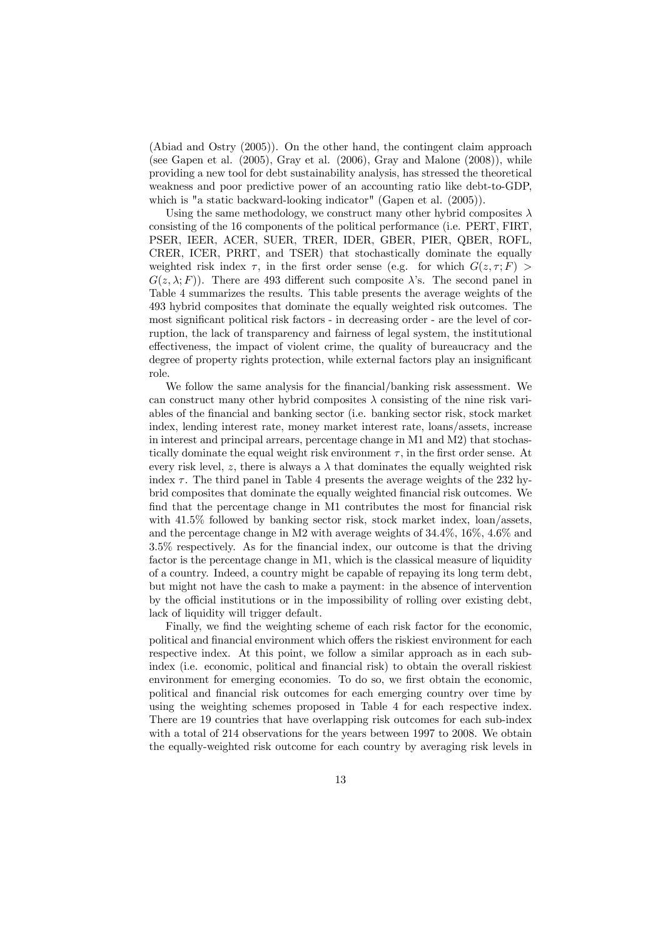(Abiad and Ostry (2005)). On the other hand, the contingent claim approach (see Gapen et al. (2005), Gray et al. (2006), Gray and Malone (2008)), while providing a new tool for debt sustainability analysis, has stressed the theoretical weakness and poor predictive power of an accounting ratio like debt-to-GDP, which is "a static backward-looking indicator" (Gapen et al. (2005)).

Using the same methodology, we construct many other hybrid composites  $\lambda$ consisting of the 16 components of the political performance (i.e. PERT, FIRT, PSER, IEER, ACER, SUER, TRER, IDER, GBER, PIER, QBER, ROFL, CRER, ICER, PRRT, and TSER) that stochastically dominate the equally weighted risk index  $\tau$ , in the first order sense (e.g. for which  $G(z, \tau; F)$ )  $G(z, \lambda; F)$ . There are 493 different such composite  $\lambda$ 's. The second panel in Table 4 summarizes the results. This table presents the average weights of the 493 hybrid composites that dominate the equally weighted risk outcomes. The most significant political risk factors - in decreasing order - are the level of corruption, the lack of transparency and fairness of legal system, the institutional effectiveness, the impact of violent crime, the quality of bureaucracy and the degree of property rights protection, while external factors play an insignificant role.

We follow the same analysis for the financial/banking risk assessment. We can construct many other hybrid composites  $\lambda$  consisting of the nine risk variables of the financial and banking sector (i.e. banking sector risk, stock market index, lending interest rate, money market interest rate, loans/assets, increase in interest and principal arrears, percentage change in M1 and M2) that stochastically dominate the equal weight risk environment  $\tau$ , in the first order sense. At every risk level, z, there is always a  $\lambda$  that dominates the equally weighted risk index  $\tau$ . The third panel in Table 4 presents the average weights of the 232 hybrid composites that dominate the equally weighted financial risk outcomes. We find that the percentage change in M1 contributes the most for financial risk with  $41.5\%$  followed by banking sector risk, stock market index, loan/assets, and the percentage change in M2 with average weights of 34.4%, 16%, 4.6% and 3.5% respectively. As for the financial index, our outcome is that the driving factor is the percentage change in M1, which is the classical measure of liquidity of a country. Indeed, a country might be capable of repaying its long term debt, but might not have the cash to make a payment: in the absence of intervention by the official institutions or in the impossibility of rolling over existing debt, lack of liquidity will trigger default.

Finally, we find the weighting scheme of each risk factor for the economic, political and financial environment which offers the riskiest environment for each respective index. At this point, we follow a similar approach as in each subindex (i.e. economic, political and financial risk) to obtain the overall riskiest environment for emerging economies. To do so, we first obtain the economic, political and financial risk outcomes for each emerging country over time by using the weighting schemes proposed in Table 4 for each respective index. There are 19 countries that have overlapping risk outcomes for each sub-index with a total of 214 observations for the years between 1997 to 2008. We obtain the equally-weighted risk outcome for each country by averaging risk levels in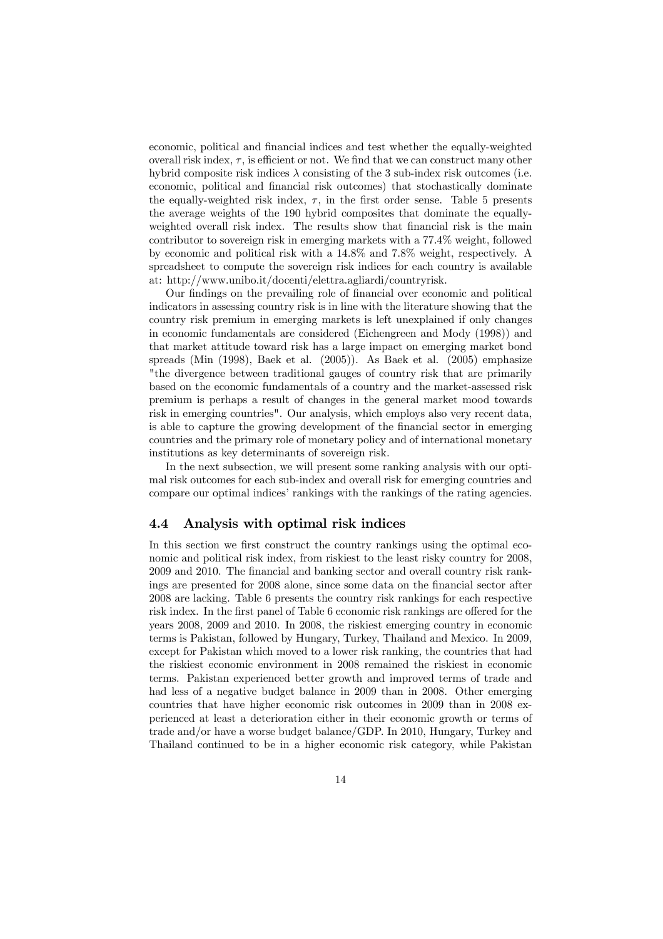economic, political and financial indices and test whether the equally-weighted overall risk index,  $\tau$ , is efficient or not. We find that we can construct many other hybrid composite risk indices  $\lambda$  consisting of the 3 sub-index risk outcomes (i.e. economic, political and financial risk outcomes) that stochastically dominate the equally-weighted risk index,  $\tau$ , in the first order sense. Table 5 presents the average weights of the 190 hybrid composites that dominate the equallyweighted overall risk index. The results show that financial risk is the main contributor to sovereign risk in emerging markets with a 77.4% weight, followed by economic and political risk with a 14.8% and 7.8% weight, respectively. A spreadsheet to compute the sovereign risk indices for each country is available at: http://www.unibo.it/docenti/elettra.agliardi/countryrisk.

Our findings on the prevailing role of financial over economic and political indicators in assessing country risk is in line with the literature showing that the country risk premium in emerging markets is left unexplained if only changes in economic fundamentals are considered (Eichengreen and Mody (1998)) and that market attitude toward risk has a large impact on emerging market bond spreads (Min (1998), Baek et al. (2005)). As Baek et al. (2005) emphasize "the divergence between traditional gauges of country risk that are primarily based on the economic fundamentals of a country and the market-assessed risk premium is perhaps a result of changes in the general market mood towards risk in emerging countries". Our analysis, which employs also very recent data, is able to capture the growing development of the financial sector in emerging countries and the primary role of monetary policy and of international monetary institutions as key determinants of sovereign risk.

In the next subsection, we will present some ranking analysis with our optimal risk outcomes for each sub-index and overall risk for emerging countries and compare our optimal indices' rankings with the rankings of the rating agencies.

#### 4.4 Analysis with optimal risk indices

In this section we first construct the country rankings using the optimal economic and political risk index, from riskiest to the least risky country for 2008, 2009 and 2010. The financial and banking sector and overall country risk rankings are presented for 2008 alone, since some data on the financial sector after 2008 are lacking. Table 6 presents the country risk rankings for each respective risk index. In the first panel of Table 6 economic risk rankings are offered for the years 2008, 2009 and 2010. In 2008, the riskiest emerging country in economic terms is Pakistan, followed by Hungary, Turkey, Thailand and Mexico. In 2009, except for Pakistan which moved to a lower risk ranking, the countries that had the riskiest economic environment in 2008 remained the riskiest in economic terms. Pakistan experienced better growth and improved terms of trade and had less of a negative budget balance in 2009 than in 2008. Other emerging countries that have higher economic risk outcomes in 2009 than in 2008 experienced at least a deterioration either in their economic growth or terms of trade and/or have a worse budget balance/GDP. In 2010, Hungary, Turkey and Thailand continued to be in a higher economic risk category, while Pakistan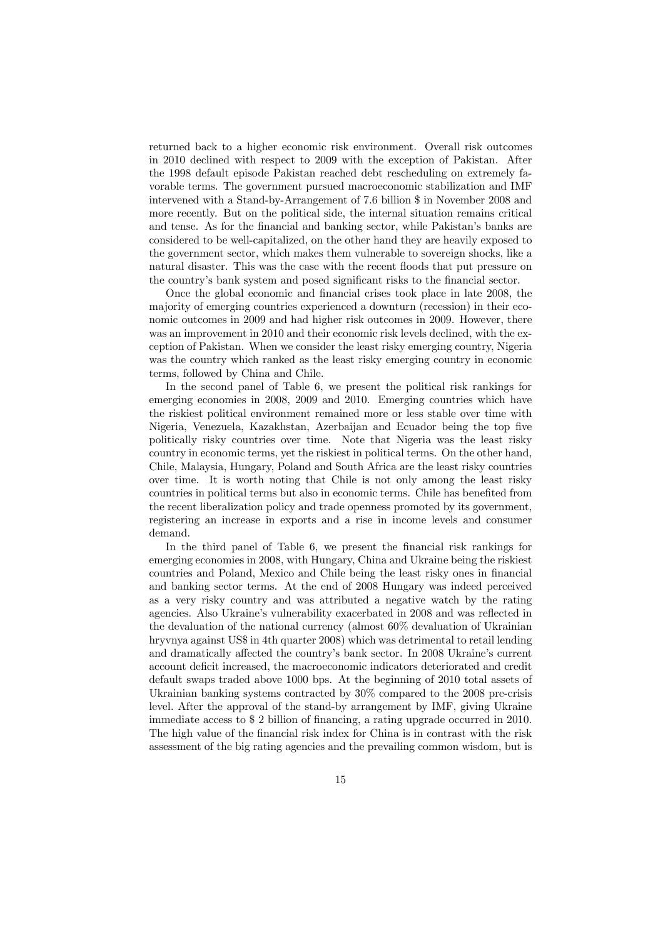returned back to a higher economic risk environment. Overall risk outcomes in 2010 declined with respect to 2009 with the exception of Pakistan. After the 1998 default episode Pakistan reached debt rescheduling on extremely favorable terms. The government pursued macroeconomic stabilization and IMF intervened with a Stand-by-Arrangement of 7.6 billion \$ in November 2008 and more recently. But on the political side, the internal situation remains critical and tense. As for the financial and banking sector, while Pakistan's banks are considered to be well-capitalized, on the other hand they are heavily exposed to the government sector, which makes them vulnerable to sovereign shocks, like a natural disaster. This was the case with the recent floods that put pressure on the country's bank system and posed significant risks to the financial sector.

Once the global economic and financial crises took place in late 2008, the majority of emerging countries experienced a downturn (recession) in their economic outcomes in 2009 and had higher risk outcomes in 2009. However, there was an improvement in 2010 and their economic risk levels declined, with the exception of Pakistan. When we consider the least risky emerging country, Nigeria was the country which ranked as the least risky emerging country in economic terms, followed by China and Chile.

In the second panel of Table 6, we present the political risk rankings for emerging economies in 2008, 2009 and 2010. Emerging countries which have the riskiest political environment remained more or less stable over time with Nigeria, Venezuela, Kazakhstan, Azerbaijan and Ecuador being the top five politically risky countries over time. Note that Nigeria was the least risky country in economic terms, yet the riskiest in political terms. On the other hand, Chile, Malaysia, Hungary, Poland and South Africa are the least risky countries over time. It is worth noting that Chile is not only among the least risky countries in political terms but also in economic terms. Chile has benefited from the recent liberalization policy and trade openness promoted by its government, registering an increase in exports and a rise in income levels and consumer demand.

In the third panel of Table 6, we present the financial risk rankings for emerging economies in 2008, with Hungary, China and Ukraine being the riskiest countries and Poland, Mexico and Chile being the least risky ones in financial and banking sector terms. At the end of 2008 Hungary was indeed perceived as a very risky country and was attributed a negative watch by the rating agencies. Also Ukraine's vulnerability exacerbated in 2008 and was reflected in the devaluation of the national currency (almost 60% devaluation of Ukrainian hryvnya against US\$ in 4th quarter 2008) which was detrimental to retail lending and dramatically affected the country's bank sector. In 2008 Ukraine's current account deficit increased, the macroeconomic indicators deteriorated and credit default swaps traded above 1000 bps. At the beginning of 2010 total assets of Ukrainian banking systems contracted by 30% compared to the 2008 pre-crisis level. After the approval of the stand-by arrangement by IMF, giving Ukraine immediate access to \$ 2 billion of financing, a rating upgrade occurred in 2010. The high value of the financial risk index for China is in contrast with the risk assessment of the big rating agencies and the prevailing common wisdom, but is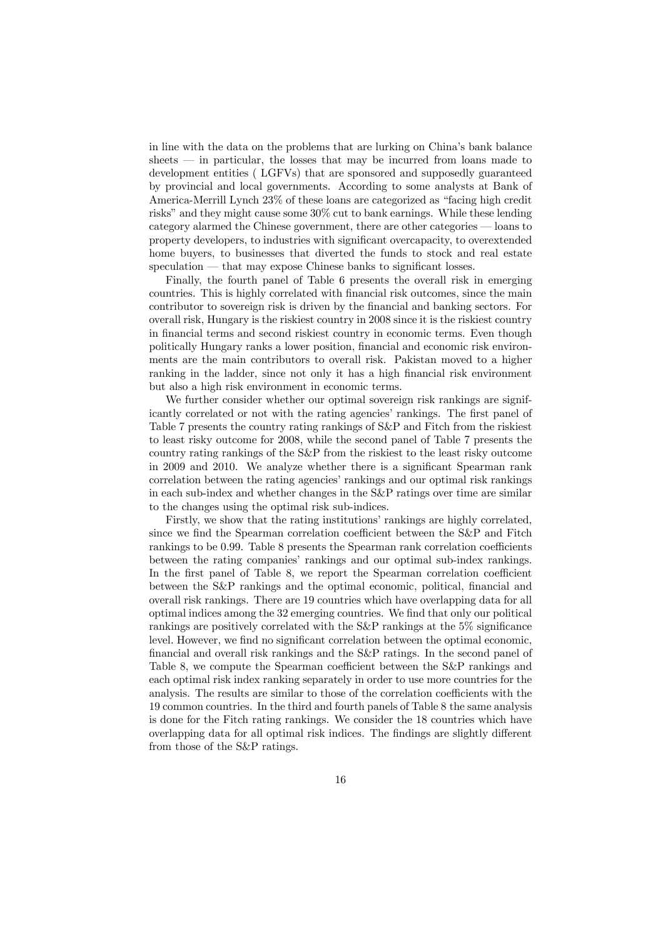in line with the data on the problems that are lurking on China's bank balance sheets  $-$  in particular, the losses that may be incurred from loans made to development entities ( LGFVs) that are sponsored and supposedly guaranteed by provincial and local governments. According to some analysts at Bank of America-Merrill Lynch 23% of these loans are categorized as "facing high credit risks" and they might cause some 30% cut to bank earnings. While these lending category alarmed the Chinese government, there are other categories – loans to property developers, to industries with significant overcapacity, to overextended home buyers, to businesses that diverted the funds to stock and real estate speculation – that may expose Chinese banks to significant losses.

Finally, the fourth panel of Table 6 presents the overall risk in emerging countries. This is highly correlated with financial risk outcomes, since the main contributor to sovereign risk is driven by the financial and banking sectors. For overall risk, Hungary is the riskiest country in 2008 since it is the riskiest country in financial terms and second riskiest country in economic terms. Even though politically Hungary ranks a lower position, financial and economic risk environments are the main contributors to overall risk. Pakistan moved to a higher ranking in the ladder, since not only it has a high financial risk environment but also a high risk environment in economic terms.

We further consider whether our optimal sovereign risk rankings are significantly correlated or not with the rating agencies' rankings. The first panel of Table 7 presents the country rating rankings of S&P and Fitch from the riskiest to least risky outcome for 2008, while the second panel of Table 7 presents the country rating rankings of the S&P from the riskiest to the least risky outcome in 2009 and 2010. We analyze whether there is a significant Spearman rank correlation between the rating agencies' rankings and our optimal risk rankings in each sub-index and whether changes in the S&P ratings over time are similar to the changes using the optimal risk sub-indices.

Firstly, we show that the rating institutions' rankings are highly correlated, since we find the Spearman correlation coefficient between the S&P and Fitch rankings to be 0.99. Table 8 presents the Spearman rank correlation coefficients between the rating companies' rankings and our optimal sub-index rankings. In the first panel of Table 8, we report the Spearman correlation coefficient between the S&P rankings and the optimal economic, political, financial and overall risk rankings. There are 19 countries which have overlapping data for all optimal indices among the 32 emerging countries. We find that only our political rankings are positively correlated with the S&P rankings at the 5% significance level. However, we find no significant correlation between the optimal economic, financial and overall risk rankings and the S&P ratings. In the second panel of Table 8, we compute the Spearman coefficient between the S&P rankings and each optimal risk index ranking separately in order to use more countries for the analysis. The results are similar to those of the correlation coefficients with the 19 common countries. In the third and fourth panels of Table 8 the same analysis is done for the Fitch rating rankings. We consider the 18 countries which have overlapping data for all optimal risk indices. The findings are slightly different from those of the S&P ratings.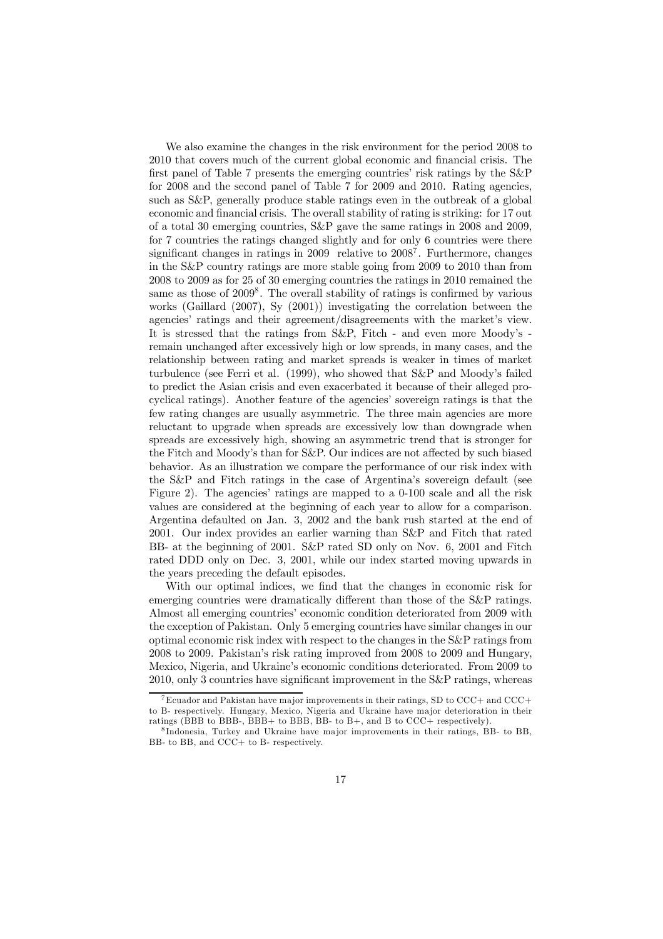We also examine the changes in the risk environment for the period 2008 to 2010 that covers much of the current global economic and financial crisis. The first panel of Table 7 presents the emerging countries' risk ratings by the S&P for 2008 and the second panel of Table 7 for 2009 and 2010. Rating agencies, such as S&P, generally produce stable ratings even in the outbreak of a global economic and financial crisis. The overall stability of rating is striking: for 17 out of a total 30 emerging countries, S&P gave the same ratings in 2008 and 2009, for 7 countries the ratings changed slightly and for only 6 countries were there significant changes in ratings in 2009 relative to  $2008<sup>7</sup>$ . Furthermore, changes in the S&P country ratings are more stable going from 2009 to 2010 than from 2008 to 2009 as for 25 of 30 emerging countries the ratings in 2010 remained the same as those of  $2009<sup>8</sup>$ . The overall stability of ratings is confirmed by various works (Gaillard (2007), Sy (2001)) investigating the correlation between the agencies' ratings and their agreement/disagreements with the market's view. It is stressed that the ratings from S&P, Fitch - and even more Moody's remain unchanged after excessively high or low spreads, in many cases, and the relationship between rating and market spreads is weaker in times of market turbulence (see Ferri et al. (1999), who showed that S&P and Moody's failed to predict the Asian crisis and even exacerbated it because of their alleged procyclical ratings). Another feature of the agencies' sovereign ratings is that the few rating changes are usually asymmetric. The three main agencies are more reluctant to upgrade when spreads are excessively low than downgrade when spreads are excessively high, showing an asymmetric trend that is stronger for the Fitch and Moody's than for S&P. Our indices are not affected by such biased behavior. As an illustration we compare the performance of our risk index with the S&P and Fitch ratings in the case of Argentina's sovereign default (see Figure 2). The agencies' ratings are mapped to a 0-100 scale and all the risk values are considered at the beginning of each year to allow for a comparison. Argentina defaulted on Jan. 3, 2002 and the bank rush started at the end of 2001. Our index provides an earlier warning than S&P and Fitch that rated BB- at the beginning of 2001. S&P rated SD only on Nov. 6, 2001 and Fitch rated DDD only on Dec. 3, 2001, while our index started moving upwards in the years preceding the default episodes.

With our optimal indices, we find that the changes in economic risk for emerging countries were dramatically different than those of the S&P ratings. Almost all emerging countries' economic condition deteriorated from 2009 with the exception of Pakistan. Only 5 emerging countries have similar changes in our optimal economic risk index with respect to the changes in the S&P ratings from 2008 to 2009. Pakistan's risk rating improved from 2008 to 2009 and Hungary, Mexico, Nigeria, and Ukraine's economic conditions deteriorated. From 2009 to 2010, only 3 countries have significant improvement in the S&P ratings, whereas

<sup>&</sup>lt;sup>7</sup> Ecuador and Pakistan have major improvements in their ratings, SD to CCC+ and CCC+ to B- respectively. Hungary, Mexico, Nigeria and Ukraine have ma jor deterioration in their ratings (BBB to BBB-, BBB+ to BBB, BB- to B+, and B to CCC+ respectively).

Indonesia, Turkey and Ukraine have major improvements in their ratings, BB- to BB, BB- to BB, and CCC+ to B- respectively.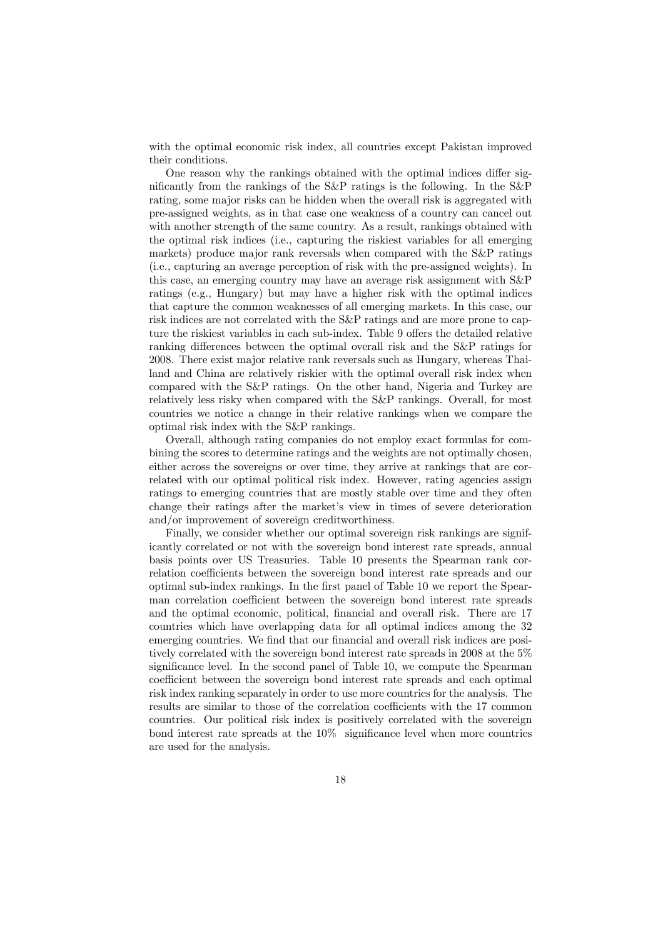with the optimal economic risk index, all countries except Pakistan improved their conditions.

One reason why the rankings obtained with the optimal indices differ significantly from the rankings of the S&P ratings is the following. In the S&P rating, some major risks can be hidden when the overall risk is aggregated with pre-assigned weights, as in that case one weakness of a country can cancel out with another strength of the same country. As a result, rankings obtained with the optimal risk indices (i.e., capturing the riskiest variables for all emerging markets) produce major rank reversals when compared with the S&P ratings (i.e., capturing an average perception of risk with the pre-assigned weights). In this case, an emerging country may have an average risk assignment with S&P ratings (e.g., Hungary) but may have a higher risk with the optimal indices that capture the common weaknesses of all emerging markets. In this case, our risk indices are not correlated with the S&P ratings and are more prone to capture the riskiest variables in each sub-index. Table 9 offers the detailed relative ranking differences between the optimal overall risk and the S&P ratings for 2008. There exist major relative rank reversals such as Hungary, whereas Thailand and China are relatively riskier with the optimal overall risk index when compared with the S&P ratings. On the other hand, Nigeria and Turkey are relatively less risky when compared with the S&P rankings. Overall, for most countries we notice a change in their relative rankings when we compare the optimal risk index with the S&P rankings.

Overall, although rating companies do not employ exact formulas for combining the scores to determine ratings and the weights are not optimally chosen, either across the sovereigns or over time, they arrive at rankings that are correlated with our optimal political risk index. However, rating agencies assign ratings to emerging countries that are mostly stable over time and they often change their ratings after the market's view in times of severe deterioration and/or improvement of sovereign creditworthiness.

Finally, we consider whether our optimal sovereign risk rankings are significantly correlated or not with the sovereign bond interest rate spreads, annual basis points over US Treasuries. Table 10 presents the Spearman rank correlation coefficients between the sovereign bond interest rate spreads and our optimal sub-index rankings. In the first panel of Table 10 we report the Spearman correlation coefficient between the sovereign bond interest rate spreads and the optimal economic, political, financial and overall risk. There are 17 countries which have overlapping data for all optimal indices among the 32 emerging countries. We find that our financial and overall risk indices are positively correlated with the sovereign bond interest rate spreads in 2008 at the 5% significance level. In the second panel of Table 10, we compute the Spearman coefficient between the sovereign bond interest rate spreads and each optimal risk index ranking separately in order to use more countries for the analysis. The results are similar to those of the correlation coefficients with the 17 common countries. Our political risk index is positively correlated with the sovereign bond interest rate spreads at the 10% significance level when more countries are used for the analysis.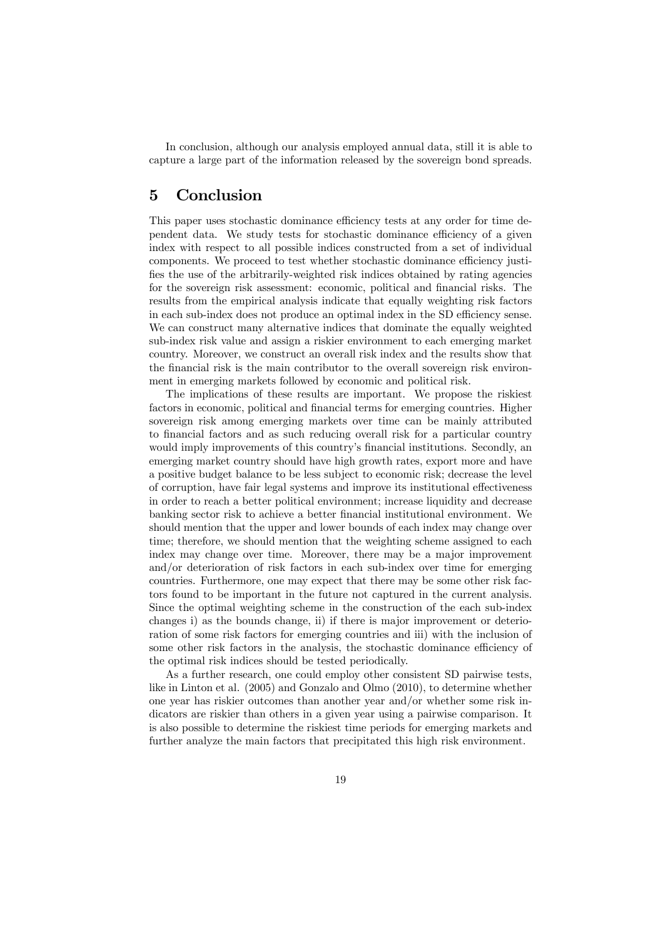In conclusion, although our analysis employed annual data, still it is able to capture a large part of the information released by the sovereign bond spreads.

#### 5 Conclusion

This paper uses stochastic dominance efficiency tests at any order for time dependent data. We study tests for stochastic dominance efficiency of a given index with respect to all possible indices constructed from a set of individual components. We proceed to test whether stochastic dominance efficiency justifies the use of the arbitrarily-weighted risk indices obtained by rating agencies for the sovereign risk assessment: economic, political and financial risks. The results from the empirical analysis indicate that equally weighting risk factors in each sub-index does not produce an optimal index in the SD efficiency sense. We can construct many alternative indices that dominate the equally weighted sub-index risk value and assign a riskier environment to each emerging market country. Moreover, we construct an overall risk index and the results show that the financial risk is the main contributor to the overall sovereign risk environment in emerging markets followed by economic and political risk.

The implications of these results are important. We propose the riskiest factors in economic, political and financial terms for emerging countries. Higher sovereign risk among emerging markets over time can be mainly attributed to financial factors and as such reducing overall risk for a particular country would imply improvements of this country's financial institutions. Secondly, an emerging market country should have high growth rates, export more and have a positive budget balance to be less subject to economic risk; decrease the level of corruption, have fair legal systems and improve its institutional effectiveness in order to reach a better political environment; increase liquidity and decrease banking sector risk to achieve a better financial institutional environment. We should mention that the upper and lower bounds of each index may change over time; therefore, we should mention that the weighting scheme assigned to each index may change over time. Moreover, there may be a major improvement and/or deterioration of risk factors in each sub-index over time for emerging countries. Furthermore, one may expect that there may be some other risk factors found to be important in the future not captured in the current analysis. Since the optimal weighting scheme in the construction of the each sub-index changes i) as the bounds change, ii) if there is major improvement or deterioration of some risk factors for emerging countries and iii) with the inclusion of some other risk factors in the analysis, the stochastic dominance efficiency of the optimal risk indices should be tested periodically.

As a further research, one could employ other consistent SD pairwise tests, like in Linton et al. (2005) and Gonzalo and Olmo (2010), to determine whether one year has riskier outcomes than another year and/or whether some risk indicators are riskier than others in a given year using a pairwise comparison. It is also possible to determine the riskiest time periods for emerging markets and further analyze the main factors that precipitated this high risk environment.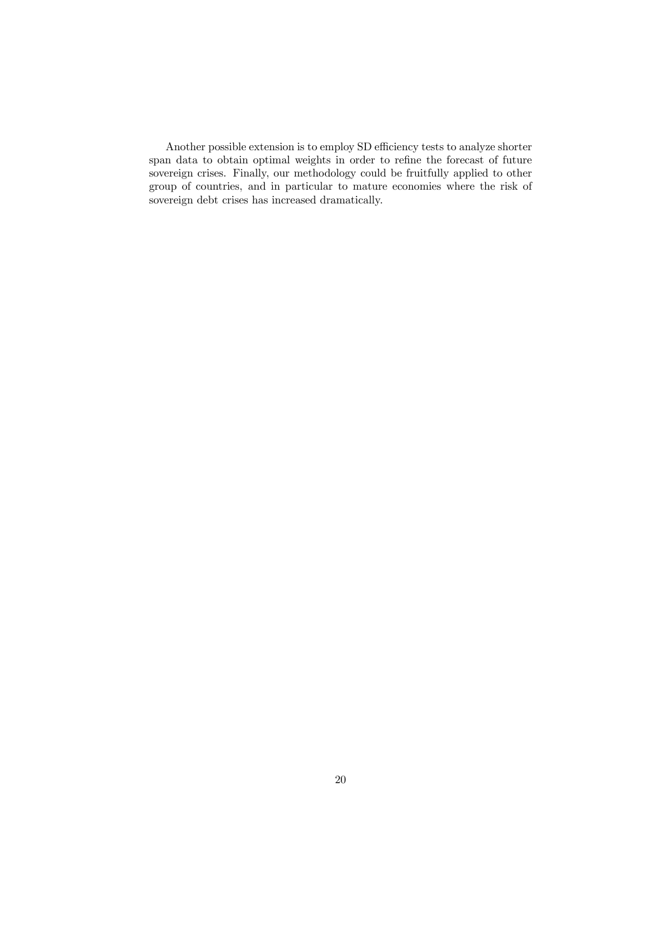Another possible extension is to employ SD efficiency tests to analyze shorter span data to obtain optimal weights in order to refine the forecast of future sovereign crises. Finally, our methodology could be fruitfully applied to other group of countries, and in particular to mature economies where the risk of sovereign debt crises has increased dramatically.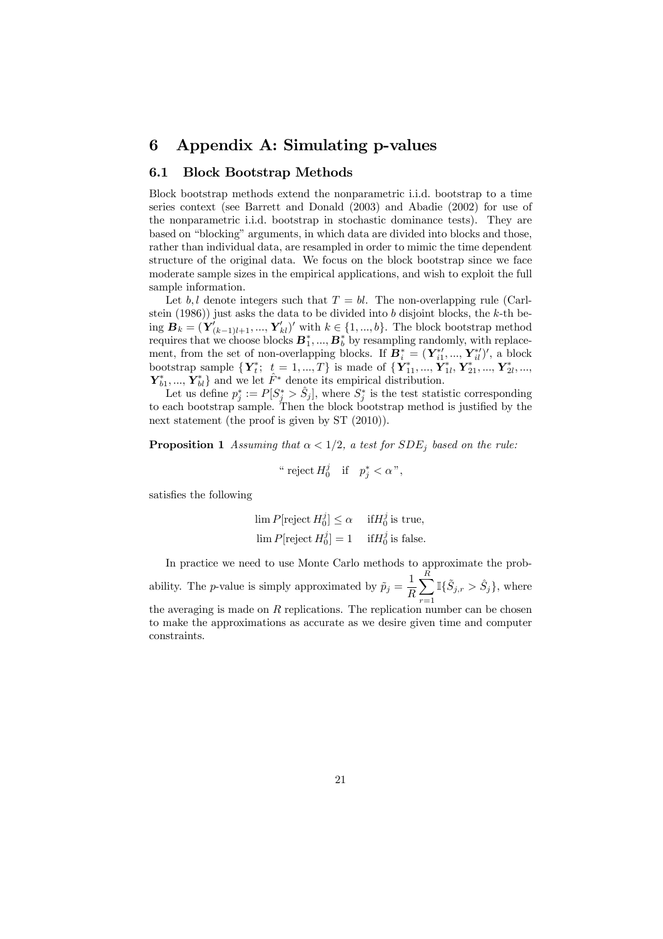### 6 Appendix A: Simulating p-values

#### 6.1 Block Bootstrap Methods

Block bootstrap methods extend the nonparametric i.i.d. bootstrap to a time series context (see Barrett and Donald (2003) and Abadie (2002) for use of the nonparametric i.i.d. bootstrap in stochastic dominance tests). They are based on "blocking" arguments, in which data are divided into blocks and those, rather than individual data, are resampled in order to mimic the time dependent structure of the original data. We focus on the block bootstrap since we face moderate sample sizes in the empirical applications, and wish to exploit the full sample information.

Let b, l denote integers such that  $T = bl$ . The non-overlapping rule (Carlstein  $(1986)$ ) just asks the data to be divided into b disjoint blocks, the k-th being  $\mathbf{B}_k = (\mathbf{Y}'_{(k-1)l+1}, ..., \mathbf{Y}'_{kl})'$  with  $k \in \{1, ..., b\}$ . The block bootstrap method requires that we choose blocks  $\boldsymbol{B}_1^*,...,\boldsymbol{B}_b^*$  by resampling randomly, with replacement, from the set of non-overlapping blocks. If  $\mathbf{B}_{i}^{*} = (\mathbf{Y}_{i1}^{*},...,\mathbf{Y}_{il}^{*})'$ , a block bootstrap sample  $\{Y_t^*, t = 1, ..., T\}$  is made of  $\{Y_{11}^*, ..., Y_{1l}^*, Y_{21}^*, ..., Y_{2l}^*, ..., \}$  $\{Y_{b1}^*,..., Y_{bl}^*\}$  and we let  $\hat{F}^*$  denote its empirical distribution.

Let us define  $p_j^* := P[S_j^* > \hat{S}_j]$ , where  $S_j^*$  is the test statistic corresponding to each bootstrap sample. Then the block bootstrap method is justified by the next statement (the proof is given by ST (2010)).

**Proposition 1** Assuming that  $\alpha < 1/2$ , a test for SDE<sub>i</sub> based on the rule:

" reject 
$$
H_0^j
$$
 if  $p_j^* < \alpha$ ",

satisfies the following

$$
\lim P[\text{reject } H_0^j] \le \alpha \quad \text{ iff } H_0^j \text{ is true,}
$$
  

$$
\lim P[\text{reject } H_0^j] = 1 \quad \text{ iff } H_0^j \text{ is false.}
$$

In practice we need to use Monte Carlo methods to approximate the probability. The *p*-value is simply approximated by  $\tilde{p}_j = \frac{1}{R}$  $\sum_{k=1}^{R}$  $\sum_{r=1} \mathbb{I}\{\tilde{S}_{j,r} > \hat{S}_j\}$ , where the averaging is made on  $R$  replications. The replication number can be chosen to make the approximations as accurate as we desire given time and computer constraints.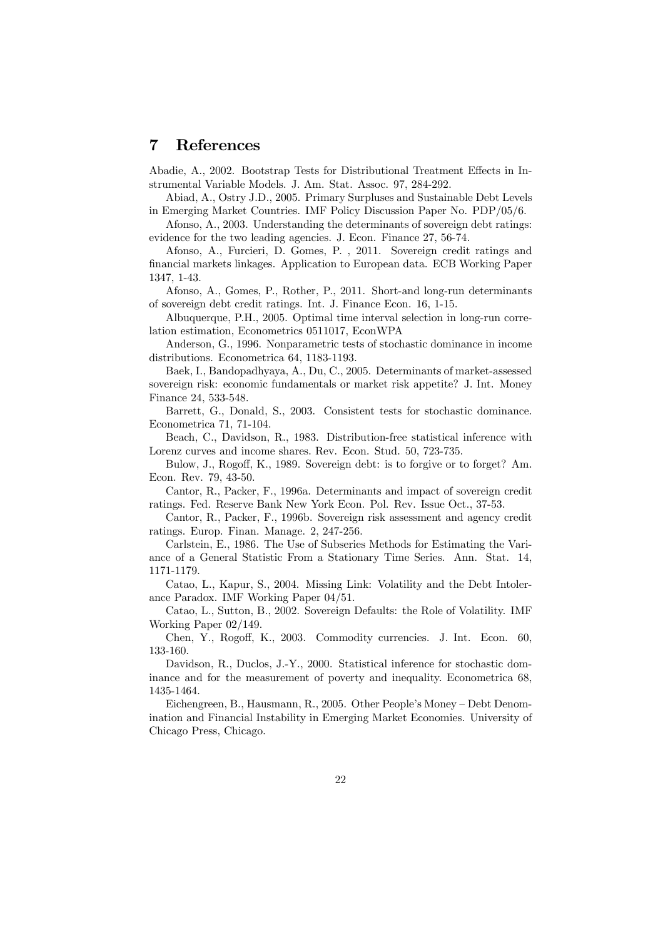#### 7 References

Abadie, A., 2002. Bootstrap Tests for Distributional Treatment Effects in Instrumental Variable Models. J. Am. Stat. Assoc. 97, 284-292.

Abiad, A., Ostry J.D., 2005. Primary Surpluses and Sustainable Debt Levels in Emerging Market Countries. IMF Policy Discussion Paper No. PDP/05/6.

Afonso, A., 2003. Understanding the determinants of sovereign debt ratings: evidence for the two leading agencies. J. Econ. Finance 27, 56-74.

Afonso, A., Furcieri, D. Gomes, P. , 2011. Sovereign credit ratings and financial markets linkages. Application to European data. ECB Working Paper 1347, 1-43.

Afonso, A., Gomes, P., Rother, P., 2011. Short-and long-run determinants of sovereign debt credit ratings. Int. J. Finance Econ. 16, 1-15.

Albuquerque, P.H., 2005. Optimal time interval selection in long-run correlation estimation, Econometrics 0511017, EconWPA

Anderson, G., 1996. Nonparametric tests of stochastic dominance in income distributions. Econometrica 64, 1183-1193.

Baek, I., Bandopadhyaya, A., Du, C., 2005. Determinants of market-assessed sovereign risk: economic fundamentals or market risk appetite? J. Int. Money Finance 24, 533-548.

Barrett, G., Donald, S., 2003. Consistent tests for stochastic dominance. Econometrica 71, 71-104.

Beach, C., Davidson, R., 1983. Distribution-free statistical inference with Lorenz curves and income shares. Rev. Econ. Stud. 50, 723-735.

Bulow, J., Rogoff, K., 1989. Sovereign debt: is to forgive or to forget? Am. Econ. Rev. 79, 43-50.

Cantor, R., Packer, F., 1996a. Determinants and impact of sovereign credit ratings. Fed. Reserve Bank New York Econ. Pol. Rev. Issue Oct., 37-53.

Cantor, R., Packer, F., 1996b. Sovereign risk assessment and agency credit ratings. Europ. Finan. Manage. 2, 247-256.

Carlstein, E., 1986. The Use of Subseries Methods for Estimating the Variance of a General Statistic From a Stationary Time Series. Ann. Stat. 14, 1171-1179.

Catao, L., Kapur, S., 2004. Missing Link: Volatility and the Debt Intolerance Paradox. IMF Working Paper 04/51.

Catao, L., Sutton, B., 2002. Sovereign Defaults: the Role of Volatility. IMF Working Paper 02/149.

Chen, Y., Rogoff, K., 2003. Commodity currencies. J. Int. Econ. 60, 133-160.

Davidson, R., Duclos, J.-Y., 2000. Statistical inference for stochastic dominance and for the measurement of poverty and inequality. Econometrica 68, 1435-1464.

Eichengreen, B., Hausmann, R., 2005. Other People's Money — Debt Denomination and Financial Instability in Emerging Market Economies. University of Chicago Press, Chicago.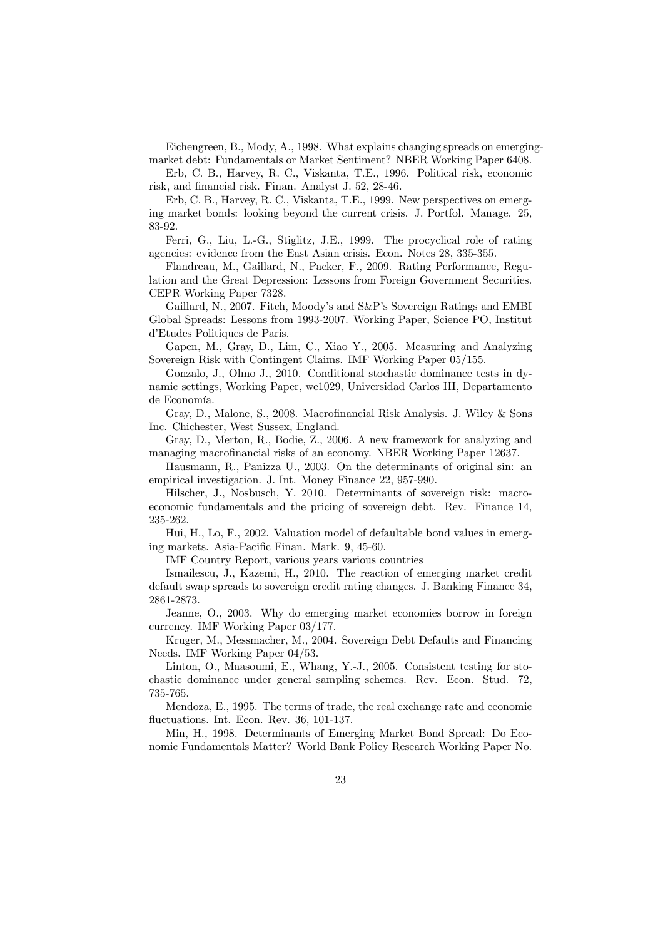Eichengreen, B., Mody, A., 1998. What explains changing spreads on emergingmarket debt: Fundamentals or Market Sentiment? NBER Working Paper 6408.

Erb, C. B., Harvey, R. C., Viskanta, T.E., 1996. Political risk, economic risk, and financial risk. Finan. Analyst J. 52, 28-46.

Erb, C. B., Harvey, R. C., Viskanta, T.E., 1999. New perspectives on emerging market bonds: looking beyond the current crisis. J. Portfol. Manage. 25, 83-92.

Ferri, G., Liu, L.-G., Stiglitz, J.E., 1999. The procyclical role of rating agencies: evidence from the East Asian crisis. Econ. Notes 28, 335-355.

Flandreau, M., Gaillard, N., Packer, F., 2009. Rating Performance, Regulation and the Great Depression: Lessons from Foreign Government Securities. CEPR Working Paper 7328.

Gaillard, N., 2007. Fitch, Moody's and S&P's Sovereign Ratings and EMBI Global Spreads: Lessons from 1993-2007. Working Paper, Science PO, Institut d'Etudes Politiques de Paris.

Gapen, M., Gray, D., Lim, C., Xiao Y., 2005. Measuring and Analyzing Sovereign Risk with Contingent Claims. IMF Working Paper 05/155.

Gonzalo, J., Olmo J., 2010. Conditional stochastic dominance tests in dynamic settings, Working Paper, we1029, Universidad Carlos III, Departamento de Economía.

Gray, D., Malone, S., 2008. Macrofinancial Risk Analysis. J. Wiley & Sons Inc. Chichester, West Sussex, England.

Gray, D., Merton, R., Bodie, Z., 2006. A new framework for analyzing and managing macrofinancial risks of an economy. NBER Working Paper 12637.

Hausmann, R., Panizza U., 2003. On the determinants of original sin: an empirical investigation. J. Int. Money Finance 22, 957-990.

Hilscher, J., Nosbusch, Y. 2010. Determinants of sovereign risk: macroeconomic fundamentals and the pricing of sovereign debt. Rev. Finance 14, 235-262.

Hui, H., Lo, F., 2002. Valuation model of defaultable bond values in emerging markets. Asia-Pacific Finan. Mark. 9, 45-60.

IMF Country Report, various years various countries

Ismailescu, J., Kazemi, H., 2010. The reaction of emerging market credit default swap spreads to sovereign credit rating changes. J. Banking Finance 34, 2861-2873.

Jeanne, O., 2003. Why do emerging market economies borrow in foreign currency. IMF Working Paper 03/177.

Kruger, M., Messmacher, M., 2004. Sovereign Debt Defaults and Financing Needs. IMF Working Paper 04/53.

Linton, O., Maasoumi, E., Whang, Y.-J., 2005. Consistent testing for stochastic dominance under general sampling schemes. Rev. Econ. Stud. 72, 735-765.

Mendoza, E., 1995. The terms of trade, the real exchange rate and economic fluctuations. Int. Econ. Rev. 36, 101-137.

Min, H., 1998. Determinants of Emerging Market Bond Spread: Do Economic Fundamentals Matter? World Bank Policy Research Working Paper No.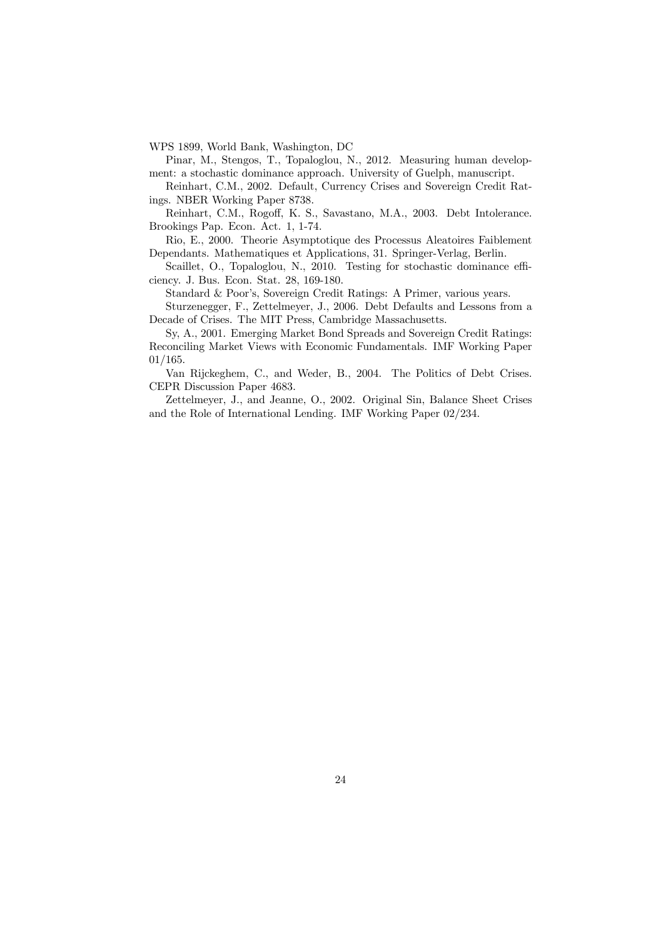WPS 1899, World Bank, Washington, DC

Pinar, M., Stengos, T., Topaloglou, N., 2012. Measuring human development: a stochastic dominance approach. University of Guelph, manuscript.

Reinhart, C.M., 2002. Default, Currency Crises and Sovereign Credit Ratings. NBER Working Paper 8738.

Reinhart, C.M., Rogoff, K. S., Savastano, M.A., 2003. Debt Intolerance. Brookings Pap. Econ. Act. 1, 1-74.

Rio, E., 2000. Theorie Asymptotique des Processus Aleatoires Faiblement Dependants. Mathematiques et Applications, 31. Springer-Verlag, Berlin.

Scaillet, O., Topaloglou, N., 2010. Testing for stochastic dominance efficiency. J. Bus. Econ. Stat. 28, 169-180.

Standard & Poor's, Sovereign Credit Ratings: A Primer, various years.

Sturzenegger, F., Zettelmeyer, J., 2006. Debt Defaults and Lessons from a Decade of Crises. The MIT Press, Cambridge Massachusetts.

Sy, A., 2001. Emerging Market Bond Spreads and Sovereign Credit Ratings: Reconciling Market Views with Economic Fundamentals. IMF Working Paper 01/165.

Van Rijckeghem, C., and Weder, B., 2004. The Politics of Debt Crises. CEPR Discussion Paper 4683.

Zettelmeyer, J., and Jeanne, O., 2002. Original Sin, Balance Sheet Crises and the Role of International Lending. IMF Working Paper 02/234.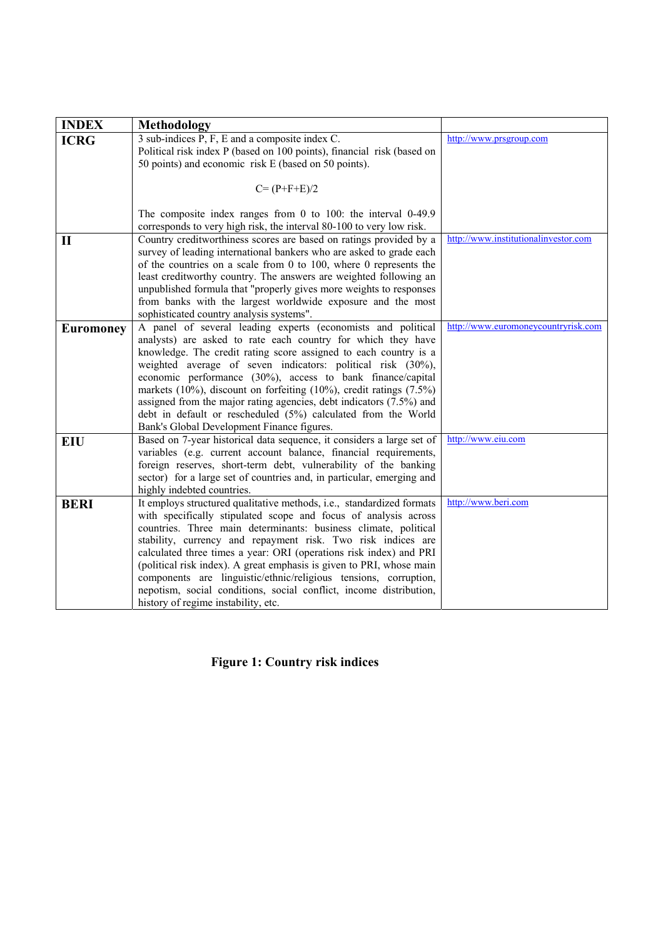| <b>INDEX</b>     | Methodology                                                                                                                  |                                      |
|------------------|------------------------------------------------------------------------------------------------------------------------------|--------------------------------------|
| <b>ICRG</b>      | 3 sub-indices P, F, E and a composite index C.                                                                               | http://www.prsgroup.com              |
|                  | Political risk index P (based on 100 points), financial risk (based on                                                       |                                      |
|                  | 50 points) and economic risk E (based on 50 points).                                                                         |                                      |
|                  | $C = (P+F+E)/2$                                                                                                              |                                      |
|                  |                                                                                                                              |                                      |
|                  | The composite index ranges from $0$ to $100$ : the interval $0-49.9$                                                         |                                      |
|                  | corresponds to very high risk, the interval 80-100 to very low risk.                                                         |                                      |
| $\mathbf{I}$     | Country creditworthiness scores are based on ratings provided by a                                                           | http://www.institutionalinvestor.com |
|                  | survey of leading international bankers who are asked to grade each                                                          |                                      |
|                  | of the countries on a scale from $0$ to $100$ , where $0$ represents the                                                     |                                      |
|                  | least creditworthy country. The answers are weighted following an                                                            |                                      |
|                  | unpublished formula that "properly gives more weights to responses                                                           |                                      |
|                  | from banks with the largest worldwide exposure and the most                                                                  |                                      |
|                  | sophisticated country analysis systems".                                                                                     |                                      |
| <b>Euromoney</b> | A panel of several leading experts (economists and political<br>analysts) are asked to rate each country for which they have | http://www.euromoneycountryrisk.com  |
|                  | knowledge. The credit rating score assigned to each country is a                                                             |                                      |
|                  | weighted average of seven indicators: political risk (30%),                                                                  |                                      |
|                  | economic performance (30%), access to bank finance/capital                                                                   |                                      |
|                  | markets $(10\%)$ , discount on forfeiting $(10\%)$ , credit ratings $(7.5\%)$                                                |                                      |
|                  | assigned from the major rating agencies, debt indicators $(7.5\%)$ and                                                       |                                      |
|                  | debt in default or rescheduled $(5%)$ calculated from the World                                                              |                                      |
|                  | Bank's Global Development Finance figures.                                                                                   |                                      |
| <b>EIU</b>       | Based on 7-year historical data sequence, it considers a large set of                                                        | http://www.eiu.com                   |
|                  | variables (e.g. current account balance, financial requirements,                                                             |                                      |
|                  | foreign reserves, short-term debt, vulnerability of the banking                                                              |                                      |
|                  | sector) for a large set of countries and, in particular, emerging and                                                        |                                      |
|                  | highly indebted countries.<br>It employs structured qualitative methods, i.e., standardized formats                          | http://www.beri.com                  |
| <b>BERI</b>      | with specifically stipulated scope and focus of analysis across                                                              |                                      |
|                  | countries. Three main determinants: business climate, political                                                              |                                      |
|                  | stability, currency and repayment risk. Two risk indices are                                                                 |                                      |
|                  | calculated three times a year: ORI (operations risk index) and PRI                                                           |                                      |
|                  | (political risk index). A great emphasis is given to PRI, whose main                                                         |                                      |
|                  | components are linguistic/ethnic/religious tensions, corruption,                                                             |                                      |
|                  | nepotism, social conditions, social conflict, income distribution,                                                           |                                      |
|                  | history of regime instability, etc.                                                                                          |                                      |

 **Figure 1: Country risk indices**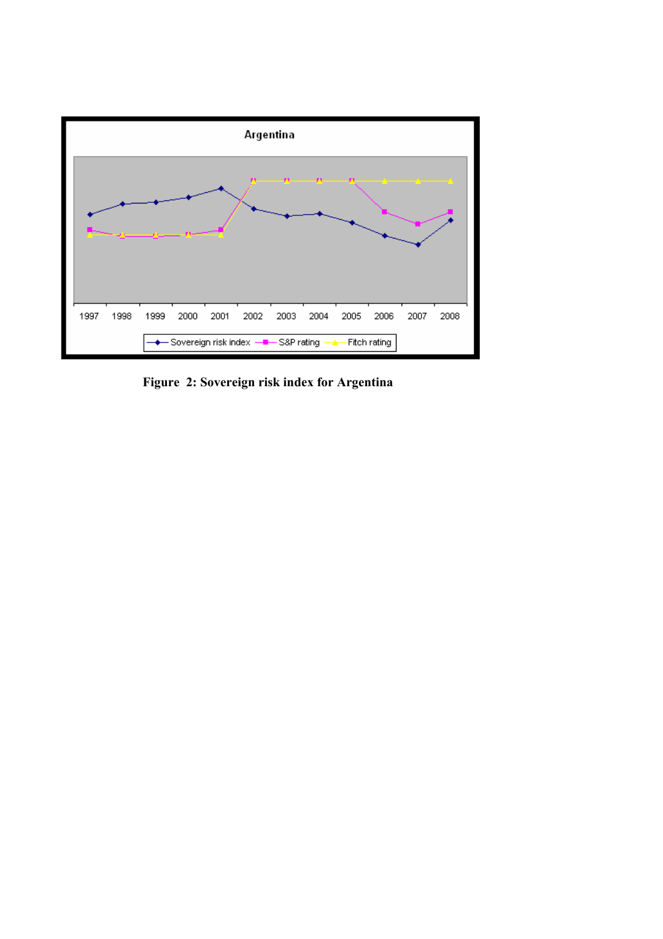

 **Figure 2: Sovereign risk index for Argentina**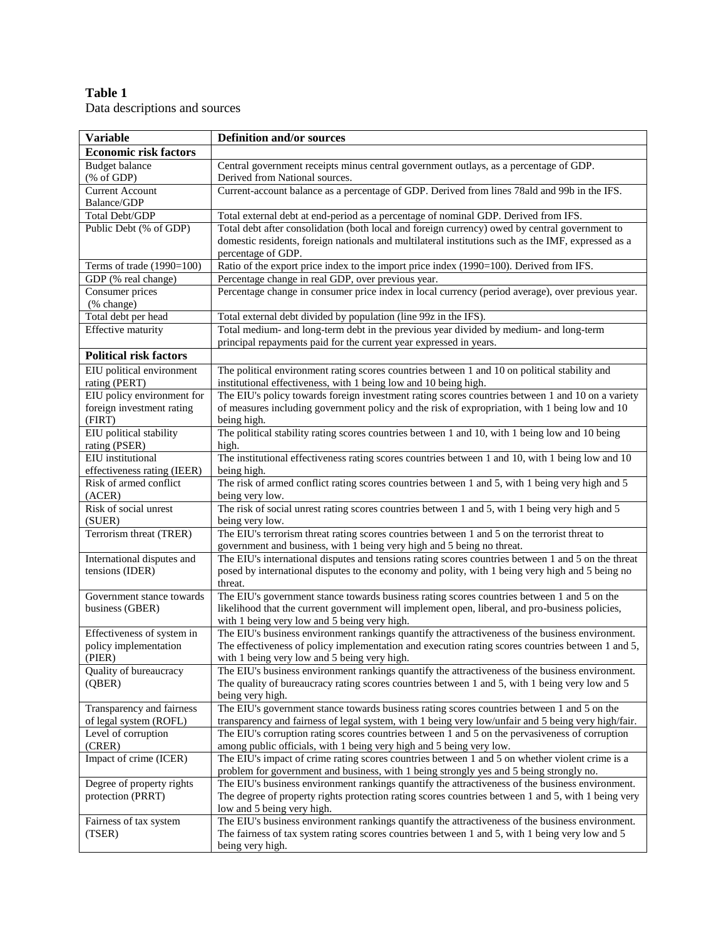Data descriptions and sources

| <b>Variable</b>                                | <b>Definition and/or sources</b>                                                                                                                                                                        |
|------------------------------------------------|---------------------------------------------------------------------------------------------------------------------------------------------------------------------------------------------------------|
| <b>Economic risk factors</b>                   |                                                                                                                                                                                                         |
| <b>Budget balance</b>                          | Central government receipts minus central government outlays, as a percentage of GDP.                                                                                                                   |
| (% of GDP)                                     | Derived from National sources.                                                                                                                                                                          |
| <b>Current Account</b>                         | Current-account balance as a percentage of GDP. Derived from lines 78ald and 99b in the IFS.                                                                                                            |
| Balance/GDP                                    |                                                                                                                                                                                                         |
| Total Debt/GDP                                 | Total external debt at end-period as a percentage of nominal GDP. Derived from IFS.                                                                                                                     |
| Public Debt (% of GDP)                         | Total debt after consolidation (both local and foreign currency) owed by central government to<br>domestic residents, foreign nationals and multilateral institutions such as the IMF, expressed as a   |
|                                                | percentage of GDP.                                                                                                                                                                                      |
| Terms of trade (1990=100)                      | Ratio of the export price index to the import price index (1990=100). Derived from IFS.                                                                                                                 |
| GDP (% real change)                            | Percentage change in real GDP, over previous year.                                                                                                                                                      |
| Consumer prices                                | Percentage change in consumer price index in local currency (period average), over previous year.                                                                                                       |
| (% change)                                     |                                                                                                                                                                                                         |
| Total debt per head                            | Total external debt divided by population (line 99z in the IFS).                                                                                                                                        |
| Effective maturity                             | Total medium- and long-term debt in the previous year divided by medium- and long-term                                                                                                                  |
|                                                | principal repayments paid for the current year expressed in years.                                                                                                                                      |
| <b>Political risk factors</b>                  |                                                                                                                                                                                                         |
| EIU political environment                      | The political environment rating scores countries between 1 and 10 on political stability and                                                                                                           |
| rating (PERT)                                  | institutional effectiveness, with 1 being low and 10 being high.                                                                                                                                        |
| EIU policy environment for                     | The EIU's policy towards foreign investment rating scores countries between 1 and 10 on a variety                                                                                                       |
| foreign investment rating<br>(FIRT)            | of measures including government policy and the risk of expropriation, with 1 being low and 10<br>being high.                                                                                           |
| EIU political stability                        | The political stability rating scores countries between 1 and 10, with 1 being low and 10 being                                                                                                         |
| rating (PSER)                                  | high.                                                                                                                                                                                                   |
| <b>EIU</b> institutional                       | The institutional effectiveness rating scores countries between 1 and 10, with 1 being low and 10                                                                                                       |
| effectiveness rating (IEER)                    | being high.                                                                                                                                                                                             |
| Risk of armed conflict                         | The risk of armed conflict rating scores countries between 1 and 5, with 1 being very high and 5                                                                                                        |
| (ACER)                                         | being very low.                                                                                                                                                                                         |
| Risk of social unrest                          | The risk of social unrest rating scores countries between 1 and 5, with 1 being very high and 5                                                                                                         |
| (SUER)                                         | being very low.                                                                                                                                                                                         |
| Terrorism threat (TRER)                        | The EIU's terrorism threat rating scores countries between 1 and 5 on the terrorist threat to                                                                                                           |
| International disputes and                     | government and business, with 1 being very high and 5 being no threat.<br>The EIU's international disputes and tensions rating scores countries between 1 and 5 on the threat                           |
| tensions (IDER)                                | posed by international disputes to the economy and polity, with 1 being very high and 5 being no                                                                                                        |
|                                                | threat.                                                                                                                                                                                                 |
| Government stance towards                      | The EIU's government stance towards business rating scores countries between 1 and 5 on the                                                                                                             |
| business (GBER)                                | likelihood that the current government will implement open, liberal, and pro-business policies,                                                                                                         |
|                                                | with 1 being very low and 5 being very high.                                                                                                                                                            |
| Effectiveness of system in                     | The EIU's business environment rankings quantify the attractiveness of the business environment.                                                                                                        |
| policy implementation                          | The effectiveness of policy implementation and execution rating scores countries between 1 and 5,                                                                                                       |
| (PIER)<br>Quality of bureaucracy               | with 1 being very low and 5 being very high.<br>The EIU's business environment rankings quantify the attractiveness of the business environment.                                                        |
| (OBER)                                         | The quality of bureaucracy rating scores countries between 1 and 5, with 1 being very low and 5                                                                                                         |
|                                                | being very high.                                                                                                                                                                                        |
| Transparency and fairness                      | The EIU's government stance towards business rating scores countries between 1 and 5 on the                                                                                                             |
| of legal system (ROFL)                         | transparency and fairness of legal system, with 1 being very low/unfair and 5 being very high/fair.                                                                                                     |
| Level of corruption                            | The EIU's corruption rating scores countries between 1 and 5 on the pervasiveness of corruption                                                                                                         |
| (CRER)                                         | among public officials, with 1 being very high and 5 being very low.                                                                                                                                    |
| Impact of crime (ICER)                         | The EIU's impact of crime rating scores countries between 1 and 5 on whether violent crime is a                                                                                                         |
|                                                | problem for government and business, with 1 being strongly yes and 5 being strongly no.                                                                                                                 |
| Degree of property rights<br>protection (PRRT) | The EIU's business environment rankings quantify the attractiveness of the business environment.<br>The degree of property rights protection rating scores countries between 1 and 5, with 1 being very |
|                                                | low and 5 being very high.                                                                                                                                                                              |
| Fairness of tax system                         | The EIU's business environment rankings quantify the attractiveness of the business environment.                                                                                                        |
| (TSER)                                         | The fairness of tax system rating scores countries between 1 and 5, with 1 being very low and 5                                                                                                         |
|                                                | being very high.                                                                                                                                                                                        |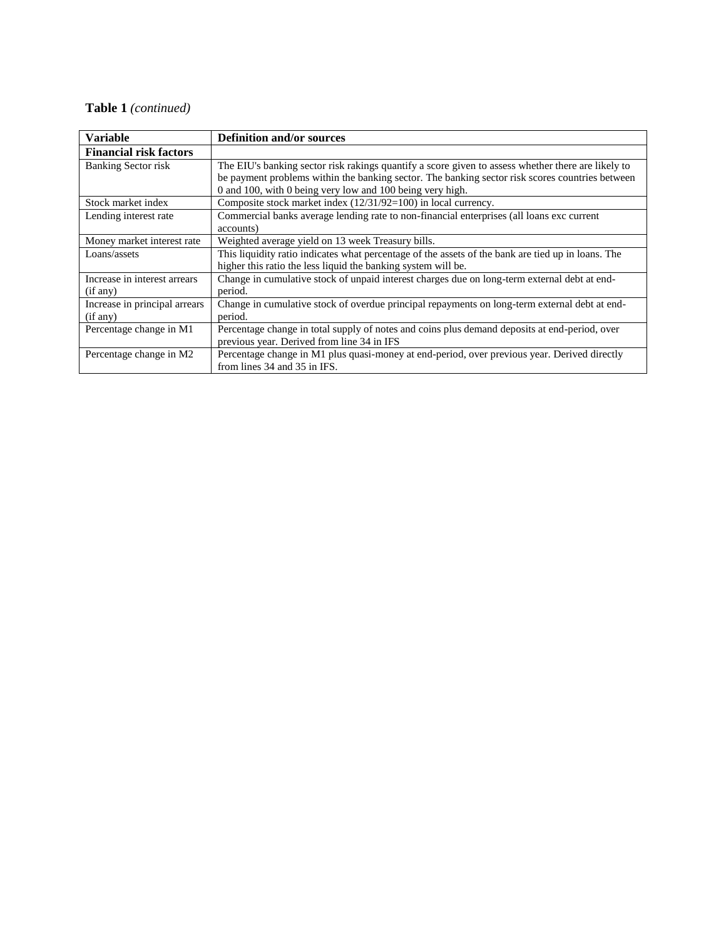### **Table 1** *(continued)*

| <b>Variable</b>               | <b>Definition and/or sources</b>                                                                   |
|-------------------------------|----------------------------------------------------------------------------------------------------|
| <b>Financial risk factors</b> |                                                                                                    |
| <b>Banking Sector risk</b>    | The EIU's banking sector risk rakings quantify a score given to assess whether there are likely to |
|                               | be payment problems within the banking sector. The banking sector risk scores countries between    |
|                               | 0 and 100, with 0 being very low and 100 being very high.                                          |
| Stock market index            | Composite stock market index $(12/31/92=100)$ in local currency.                                   |
| Lending interest rate         | Commercial banks average lending rate to non-financial enterprises (all loans exc current          |
|                               | accounts)                                                                                          |
| Money market interest rate    | Weighted average yield on 13 week Treasury bills.                                                  |
| Loans/assets                  | This liquidity ratio indicates what percentage of the assets of the bank are tied up in loans. The |
|                               | higher this ratio the less liquid the banking system will be.                                      |
| Increase in interest arrears  | Change in cumulative stock of unpaid interest charges due on long-term external debt at end-       |
| (if any)                      | period.                                                                                            |
| Increase in principal arrears | Change in cumulative stock of overdue principal repayments on long-term external debt at end-      |
| (if any)                      | period.                                                                                            |
| Percentage change in M1       | Percentage change in total supply of notes and coins plus demand deposits at end-period, over      |
|                               | previous year. Derived from line 34 in IFS                                                         |
| Percentage change in M2       | Percentage change in M1 plus quasi-money at end-period, over previous year. Derived directly       |
|                               | from lines 34 and 35 in IFS.                                                                       |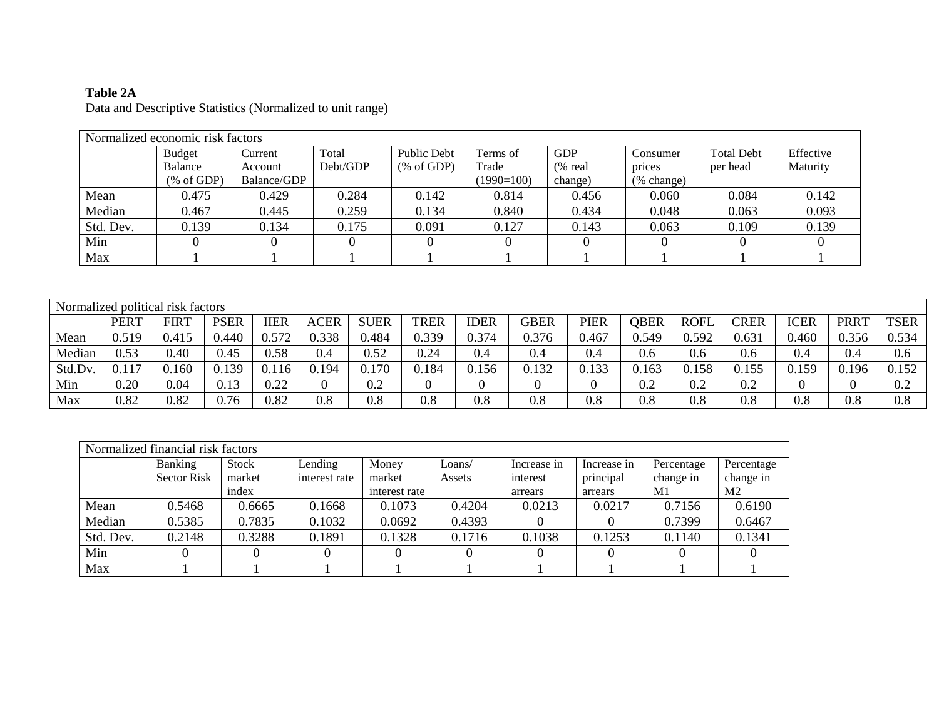### **Table 2A**

Data and Descriptive Statistics (Normalized to unit range)

|           | Normalized economic risk factors |             |          |             |              |            |                             |                   |           |
|-----------|----------------------------------|-------------|----------|-------------|--------------|------------|-----------------------------|-------------------|-----------|
|           | <b>Budget</b>                    | Current     | Total    | Public Debt | Terms of     | <b>GDP</b> | Consumer                    | <b>Total Debt</b> | Effective |
|           | Balance                          | Account     | Debt/GDP | % of GDP    | Trade        | $(%$ real  | prices                      | per head          | Maturity  |
|           | % of GDP                         | Balance/GDP |          |             | $(1990=100)$ | change)    | $(% \mathbf{A})$ (% change) |                   |           |
| Mean      | 0.475                            | 0.429       | 0.284    | 0.142       | 0.814        | 0.456      | 0.060                       | 0.084             | 0.142     |
| Median    | 0.467                            | 0.445       | 0.259    | 0.134       | 0.840        | 0.434      | 0.048                       | 0.063             | 0.093     |
| Std. Dev. | 0.139                            | 0.134       | 0.175    | 0.091       | 0.127        | 0.143      | 0.063                       | 0.109             | 0.139     |
| Min       |                                  |             |          |             |              |            |                             |                   |           |
| Max       |                                  |             |          |             |              |            |                             |                   |           |

|         | Normalized political risk factors |             |             |       |             |             |             |             |             |             |             |             |             |             |                  |             |
|---------|-----------------------------------|-------------|-------------|-------|-------------|-------------|-------------|-------------|-------------|-------------|-------------|-------------|-------------|-------------|------------------|-------------|
|         |                                   |             |             |       |             |             |             |             |             |             |             |             |             |             |                  |             |
|         | PERT                              | <b>FIRT</b> | <b>PSER</b> | IIER  | <b>ACER</b> | <b>SUER</b> | <b>TRER</b> | <b>IDER</b> | <b>GBER</b> | <b>PIER</b> | <b>QBER</b> | <b>ROFL</b> | <b>CRER</b> | <b>ICER</b> | PRR <sup>7</sup> | <b>TSER</b> |
| Mean    | 0.519                             | 0.415       | 0.440       | 0.572 | 1.338       | 0.484       | 0.339       | 0.374       | 0.376       | 0.467       | 0.549       | 0.592       | 0.631       | 0.460       | 0.356            | 0.534       |
| Median  | 0.53                              | 0.40        | 0.45        | 0.58  | 0.4         | 0.52        | 0.24        | 0.4         | 0.4         | 0.4         | 0.6         | 0.6         | 0.6         | 0.4         | 0.4              | 0.6         |
| Std.Dv. | 0.117                             | 0.160       | 0.139       | 0.116 | 0.194       | 0.170       | 0.184       | 0.156       | 0.132       | 0.133       | 0.163       | 0.158       | 0.155       | 0.159       | 0.196            | 0.152       |
| Min     | 0.20                              | 0.04        | 0.13        | 0.22  |             | 0.2         | 0           |             |             |             | 0.2         | $\rm 0.2$   | 0.2         |             |                  | 0.2         |
| Max     | 0.82                              | 0.82        | 0.76        | 0.82  | 0.8         | 0.8         | $_{0.8}$    | 0.8         | 0.8         | 0.8         | 0.8         | 0.8         | 0.8         | 0.8         | 0.8              | 0.8         |

|           | Normalized financial risk factors |        |               |               |                 |             |             |            |                |
|-----------|-----------------------------------|--------|---------------|---------------|-----------------|-------------|-------------|------------|----------------|
|           | Banking                           | Stock  | Lending       | Money         | $\text{L}oans/$ | Increase in | Increase in | Percentage | Percentage     |
|           | <b>Sector Risk</b>                | market | interest rate | market        | Assets          | interest    | principal   | change in  | change in      |
|           |                                   | index  |               | interest rate |                 | arrears     | arrears     | M1         | M <sub>2</sub> |
| Mean      | 0.5468                            | 0.6665 | 0.1668        | 0.1073        | 0.4204          | 0.0213      | 0.0217      | 0.7156     | 0.6190         |
| Median    | 0.5385                            | 0.7835 | 0.1032        | 0.0692        | 0.4393          |             |             | 0.7399     | 0.6467         |
| Std. Dev. | 0.2148                            | 0.3288 | 0.1891        | 0.1328        | 0.1716          | 0.1038      | 0.1253      | 0.1140     | 0.1341         |
| Min       |                                   |        |               | $\theta$      |                 |             |             |            |                |
| Max       |                                   |        |               |               |                 |             |             |            |                |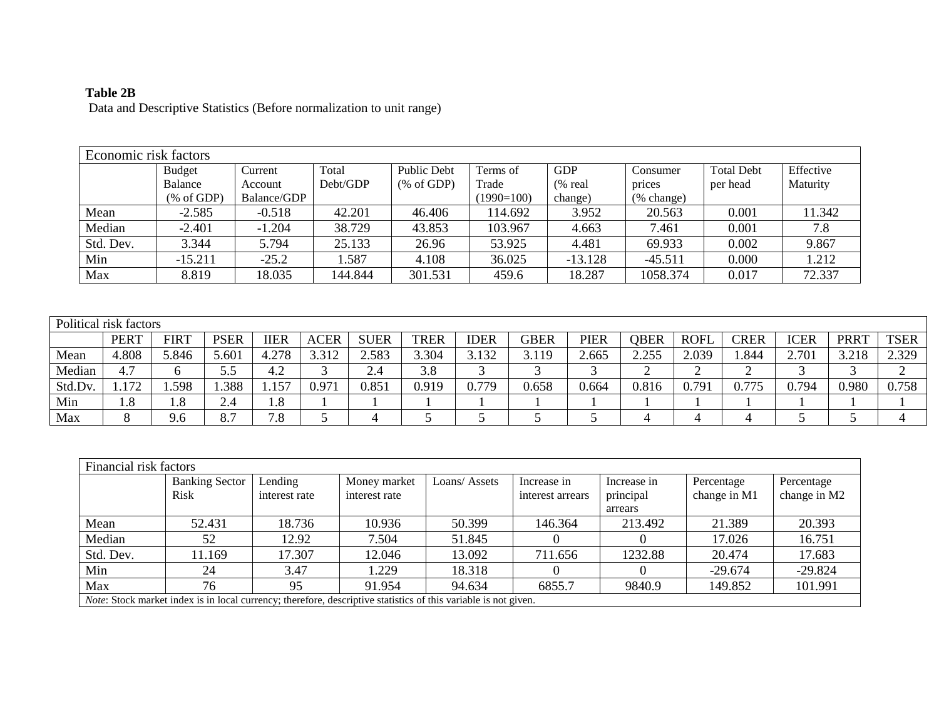#### **Table 2B**

Data and Descriptive Statistics (Before normalization to unit range)

|           | Economic risk factors |             |          |                    |              |            |            |                   |           |  |  |  |  |  |
|-----------|-----------------------|-------------|----------|--------------------|--------------|------------|------------|-------------------|-----------|--|--|--|--|--|
|           | <b>Budget</b>         | Current     | Total    | <b>Public Debt</b> | Terms of     | <b>GDP</b> | Consumer   | <b>Total Debt</b> | Effective |  |  |  |  |  |
|           | Balance               | Account     | Debt/GDP | % of GDP           | Trade        | (% real    | prices     | per head          | Maturity  |  |  |  |  |  |
|           | % of GDP              | Balance/GDP |          |                    | $(1990=100)$ | change)    | (% change) |                   |           |  |  |  |  |  |
| Mean      | $-2.585$              | $-0.518$    | 42.201   | 46.406             | 14.692       | 3.952      | 20.563     | 0.001             | 11.342    |  |  |  |  |  |
| Median    | $-2.401$              | $-1.204$    | 38.729   | 43.853             | 103.967      | 4.663      | 7.461      | 0.001             | 7.8       |  |  |  |  |  |
| Std. Dev. | 3.344                 | 5.794       | 25.133   | 26.96              | 53.925       | 4.481      | 69.933     | 0.002             | 9.867     |  |  |  |  |  |
| Min       | $-15.211$             | $-25.2$     | .587     | 4.108              | 36.025       | $-13.128$  | $-45.511$  | 0.000             | 1.212     |  |  |  |  |  |
| Max       | 8.819                 | 18.035      | 144.844  | 301.531            | 459.6        | 18.287     | 1058.374   | 0.017             | 72.337    |  |  |  |  |  |

|         | Political risk factors |             |             |             |             |             |             |             |             |             |             |             |             |             |             |             |
|---------|------------------------|-------------|-------------|-------------|-------------|-------------|-------------|-------------|-------------|-------------|-------------|-------------|-------------|-------------|-------------|-------------|
|         | <b>PERT</b>            | <b>FIRT</b> | <b>PSER</b> | <b>IIER</b> | <b>ACER</b> | <b>SUER</b> | <b>TRER</b> | <b>IDER</b> | <b>GBER</b> | <b>PIER</b> | <b>QBER</b> | <b>ROFL</b> | <b>CRER</b> | <b>ICER</b> | <b>PRRT</b> | <b>TSER</b> |
| Mean    | 4.808                  | 5.846       | 5.601       | 4.278       | 3.312       | 2.583       | 3.304       | 3.132       | 3.119       | 2.665       | 2.255       | 2.039       | .844        | 2.701       | 3.218       | 2.329       |
| Median  | 4.7                    |             | ີ           | 4.2         |             | 2.4         | 3.8         |             |             |             |             | ∠           | ∽           | ັ           |             |             |
| Std.Dv. | 172                    | .598        | .388        | 1.157       | 0.97        | 0.851       | 0.919       | 0.779       | 0.658       | 0.664       | 0.816       | 0.791       | 0.775       | 0.794       | 0.980       | 0.758       |
| Min     | 1.8                    | 1.8         | 2.4         | 1.8         |             |             |             |             |             |             |             |             |             |             |             |             |
| Max     | $\circ$                | 9.6         | 8.7         | 7.8         |             |             |             |             |             |             |             |             |             |             |             |             |

| Financial risk factors |                                                                                                                        |                          |                               |              |                                 |                                     |                            |                            |  |  |  |  |
|------------------------|------------------------------------------------------------------------------------------------------------------------|--------------------------|-------------------------------|--------------|---------------------------------|-------------------------------------|----------------------------|----------------------------|--|--|--|--|
|                        | <b>Banking Sector</b><br>Risk                                                                                          | Lending<br>interest rate | Money market<br>interest rate | Loans/Assets | Increase in<br>interest arrears | Increase in<br>principal<br>arrears | Percentage<br>change in M1 | Percentage<br>change in M2 |  |  |  |  |
| Mean                   | 52.431                                                                                                                 | 18.736                   | 10.936                        | 50.399       | 146.364                         | 213.492                             | 21.389                     | 20.393                     |  |  |  |  |
| Median                 | 52                                                                                                                     | 12.92                    | 7.504                         | 51.845       |                                 |                                     | 17.026                     | 16.751                     |  |  |  |  |
| Std. Dev.              | 11.169                                                                                                                 | 17.307                   | 12.046                        | 13.092       | 711.656                         | 1232.88                             | 20.474                     | 17.683                     |  |  |  |  |
| Min                    | 24                                                                                                                     | 3.47                     | 1.229                         | 18.318       |                                 |                                     | $-29.674$                  | $-29.824$                  |  |  |  |  |
| Max                    | 76                                                                                                                     | 95                       | 91.954                        | 94.634       | 6855.7                          | 9840.9                              | 149.852                    | 101.991                    |  |  |  |  |
|                        | <i>Note:</i> Stock market index is in local currency; therefore, descriptive statistics of this variable is not given. |                          |                               |              |                                 |                                     |                            |                            |  |  |  |  |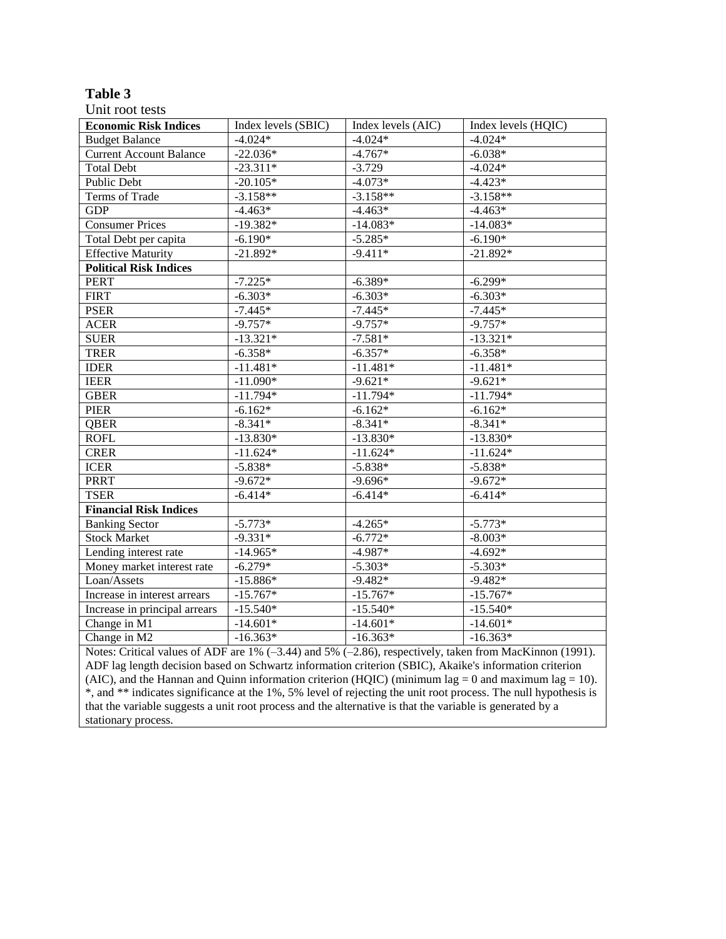Unit root tests

| <b>Economic Risk Indices</b>                                                                            | Index levels (SBIC) | Index levels (AIC) | Index levels (HQIC) |
|---------------------------------------------------------------------------------------------------------|---------------------|--------------------|---------------------|
| <b>Budget Balance</b>                                                                                   | $-4.024*$           | $-4.024*$          | $-4.024*$           |
| <b>Current Account Balance</b>                                                                          | $-22.036*$          | $-4.767*$          | $-6.038*$           |
| <b>Total Debt</b>                                                                                       | $-23.311*$          | $-3.729$           | $-4.024*$           |
| Public Debt                                                                                             | $-20.105*$          | $-4.073*$          | $-4.423*$           |
| Terms of Trade                                                                                          | $-3.158**$          | $-3.158**$         | $-3.158**$          |
| <b>GDP</b>                                                                                              | $-4.463*$           | $-4.463*$          | $-4.463*$           |
| <b>Consumer Prices</b>                                                                                  | $-19.382*$          | $-14.083*$         | $-14.083*$          |
| Total Debt per capita                                                                                   | $-6.190*$           | $-5.285*$          | $-6.190*$           |
| <b>Effective Maturity</b>                                                                               | $-21.892*$          | $-9.411*$          | $-21.892*$          |
| <b>Political Risk Indices</b>                                                                           |                     |                    |                     |
| <b>PERT</b>                                                                                             | $-7.225*$           | $-6.389*$          | $-6.299*$           |
| <b>FIRT</b>                                                                                             | $-6.303*$           | $-6.303*$          | $-6.303*$           |
| <b>PSER</b>                                                                                             | $-7.445*$           | $-7.445*$          | $-7.445*$           |
| <b>ACER</b>                                                                                             | $-9.757*$           | $-9.757*$          | $-9.757*$           |
| <b>SUER</b>                                                                                             | $-13.321*$          | $-7.581*$          | $-13.321*$          |
| <b>TRER</b>                                                                                             | $-6.358*$           | $-6.357*$          | $-6.358*$           |
| <b>IDER</b>                                                                                             | $-11.481*$          | $-11.481*$         | $-11.481*$          |
| <b>IEER</b>                                                                                             | $-11.090*$          | $-9.621*$          | $-9.621*$           |
| <b>GBER</b>                                                                                             | $-11.794*$          | $-11.794*$         | $-11.794*$          |
| <b>PIER</b>                                                                                             | $-6.162*$           | $-6.162*$          | $-6.162*$           |
| <b>QBER</b>                                                                                             | $-8.341*$           | $-8.341*$          | $-8.341*$           |
| <b>ROFL</b>                                                                                             | $-13.830*$          | $-13.830*$         | $-13.830*$          |
| <b>CRER</b>                                                                                             | $-11.624*$          | $-11.624*$         | $-11.624*$          |
| <b>ICER</b>                                                                                             | $-5.838*$           | $-5.838*$          | $-5.838*$           |
| <b>PRRT</b>                                                                                             | $-9.672*$           | $-9.696*$          | $-9.672*$           |
| <b>TSER</b>                                                                                             | $-6.414*$           | $-6.414*$          | $-6.414*$           |
| <b>Financial Risk Indices</b>                                                                           |                     |                    |                     |
| <b>Banking Sector</b>                                                                                   | $-5.773*$           | $-4.265*$          | $-5.773*$           |
| <b>Stock Market</b>                                                                                     | $-9.331*$           | $-6.772*$          | $-8.003*$           |
| Lending interest rate                                                                                   | $-14.965*$          | $-4.987*$          | $-4.692*$           |
| Money market interest rate                                                                              | $-6.279*$           | $-5.303*$          | $-5.303*$           |
| Loan/Assets                                                                                             | $-15.886*$          | $-9.482*$          | $-9.482*$           |
| Increase in interest arrears                                                                            | $-15.767*$          | $-15.767*$         | $-15.767*$          |
| Increase in principal arrears                                                                           | $-15.540*$          | $-15.540*$         | $-15.540*$          |
| Change in M1                                                                                            | $-14.601*$          | $-14.601*$         | $-14.601*$          |
| Change in M2                                                                                            | $-16.363*$          | $-16.363*$         | $-16.363*$          |
| Notes: Critical values of ADF are 1% (-3.44) and 5% (-2.86), respectively, taken from MacKinnon (1991). |                     |                    |                     |
| ADF lag length decision based on Schwartz information criterion (SBIC), Akaike's information criterion  |                     |                    |                     |

(AIC), and the Hannan and Quinn information criterion (HQIC) (minimum lag = 0 and maximum lag = 10). \*, and \*\* indicates significance at the 1%, 5% level of rejecting the unit root process. The null hypothesis is that the variable suggests a unit root process and the alternative is that the variable is generated by a stationary process.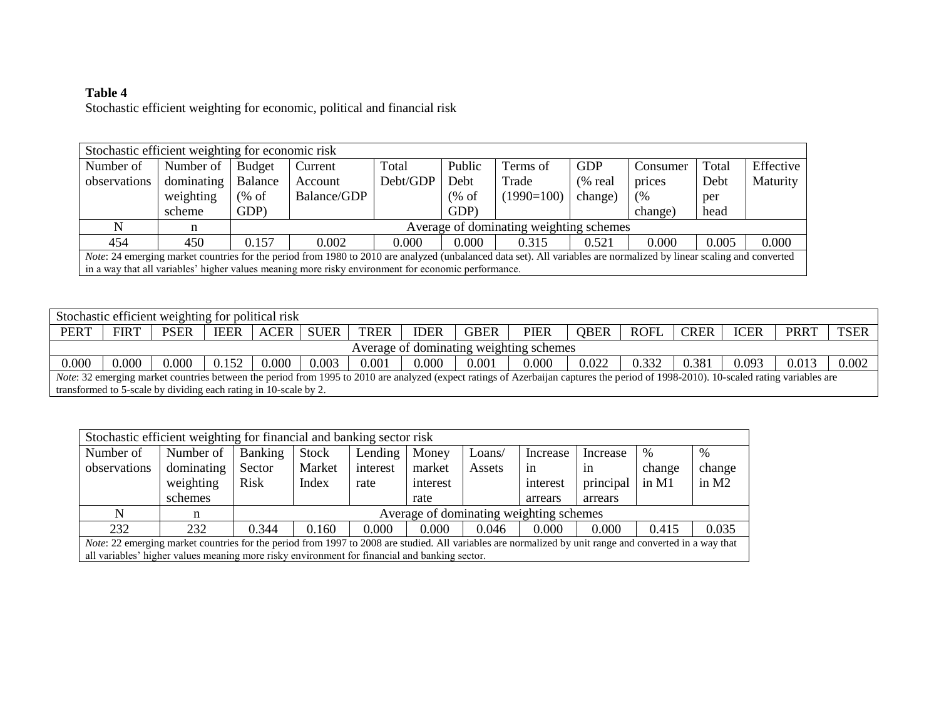Stochastic efficient weighting for economic, political and financial risk

| Stochastic efficient weighting for economic risk |                                                                                                                                                                             |                                                                               |                                                                                                     |          |      |                                         |           |         |      |          |  |  |  |  |
|--------------------------------------------------|-----------------------------------------------------------------------------------------------------------------------------------------------------------------------------|-------------------------------------------------------------------------------|-----------------------------------------------------------------------------------------------------|----------|------|-----------------------------------------|-----------|---------|------|----------|--|--|--|--|
| Number of                                        | Number of                                                                                                                                                                   | Budget                                                                        | Effective<br>Public<br><b>GDP</b><br>Total<br>Terms of<br>Total<br>Current<br>Consumer              |          |      |                                         |           |         |      |          |  |  |  |  |
| observations                                     | dominating                                                                                                                                                                  | Balance                                                                       | Account                                                                                             | Debt/GDP | Debt | Trade                                   | $(%$ real | prices  | Debt | Maturity |  |  |  |  |
|                                                  | weighting                                                                                                                                                                   | % of                                                                          | $(1990=100)$<br>Balance/GDP<br>% of<br>change)<br>(%<br>per                                         |          |      |                                         |           |         |      |          |  |  |  |  |
|                                                  | scheme                                                                                                                                                                      | GDP)                                                                          |                                                                                                     |          | GDP) |                                         |           | change) | head |          |  |  |  |  |
|                                                  | n                                                                                                                                                                           |                                                                               |                                                                                                     |          |      | Average of dominating weighting schemes |           |         |      |          |  |  |  |  |
| 454                                              | 450                                                                                                                                                                         | 0.157<br>0.005<br>0.002<br>0.000<br>0.000<br>0.000<br>0.000<br>0.521<br>0.315 |                                                                                                     |          |      |                                         |           |         |      |          |  |  |  |  |
|                                                  | <i>Note:</i> 24 emerging market countries for the period from 1980 to 2010 are analyzed (unbalanced data set). All variables are normalized by linear scaling and converted |                                                                               |                                                                                                     |          |      |                                         |           |         |      |          |  |  |  |  |
|                                                  |                                                                                                                                                                             |                                                                               | in a way that all variables' higher values meaning more risky environment for economic performance. |          |      |                                         |           |         |      |          |  |  |  |  |

|                                                                                                                                                                                             | Stochastic efficient weighting for political risk                |             |             |             |             |             |             |             |             |             |             |             |             |             |             |
|---------------------------------------------------------------------------------------------------------------------------------------------------------------------------------------------|------------------------------------------------------------------|-------------|-------------|-------------|-------------|-------------|-------------|-------------|-------------|-------------|-------------|-------------|-------------|-------------|-------------|
| <b>PERT</b>                                                                                                                                                                                 | <b>FIRT</b>                                                      | <b>PSER</b> | <b>IEER</b> | <b>ACER</b> | <b>SUER</b> | <b>TRER</b> | <b>IDER</b> | <b>GBER</b> | <b>PIER</b> | <b>OBER</b> | <b>ROFL</b> | <b>CRER</b> | <b>ICER</b> | <b>PRRT</b> | <b>TSER</b> |
| Average of dominating weighting schemes                                                                                                                                                     |                                                                  |             |             |             |             |             |             |             |             |             |             |             |             |             |             |
| 0.000                                                                                                                                                                                       | 0.000                                                            | 0.000       | 0.152       | 0.000       | 0.003       | 0.001       | 0.000       | 0.001       | 0.000       | 0.022       | 0.332       | 0.381       | 0.093       | 0.013       | 0.002       |
| <i>Note:</i> 32 emerging market countries between the period from 1995 to 2010 are analyzed (expect ratings of Azerbaijan captures the period of 1998-2010). 10-scaled rating variables are |                                                                  |             |             |             |             |             |             |             |             |             |             |             |             |             |             |
|                                                                                                                                                                                             | transformed to 5-scale by dividing each rating in 10-scale by 2. |             |             |             |             |             |             |             |             |             |             |             |             |             |             |

| Stochastic efficient weighting for financial and banking sector risk                                                                                           |            |         |        |          |          |        |                                         |           |        |         |
|----------------------------------------------------------------------------------------------------------------------------------------------------------------|------------|---------|--------|----------|----------|--------|-----------------------------------------|-----------|--------|---------|
| Number of                                                                                                                                                      | Number of  | Banking | Stock  | Lending  | Money    | Loans/ | Increase                                | Increase  | $\%$   | $\%$    |
| observations                                                                                                                                                   | dominating | Sector  | Market | interest | market   | Assets | 1n                                      | 1n        | change | change  |
|                                                                                                                                                                | weighting  | Risk    | Index  | rate     | interest |        | interest                                | principal | in M1  | in $M2$ |
|                                                                                                                                                                | schemes    |         |        |          | rate     |        | arrears                                 | arrears   |        |         |
| N                                                                                                                                                              | n          |         |        |          |          |        | Average of dominating weighting schemes |           |        |         |
| 232                                                                                                                                                            | 232        | 0.344   | 0.160  | 0.000    | 0.000    | 0.046  | 0.000                                   | 0.000     | 0.415  | 0.035   |
| <i>Note:</i> 22 emerging market countries for the period from 1997 to 2008 are studied. All variables are normalized by unit range and converted in a way that |            |         |        |          |          |        |                                         |           |        |         |
| all variables' higher values meaning more risky environment for financial and banking sector.                                                                  |            |         |        |          |          |        |                                         |           |        |         |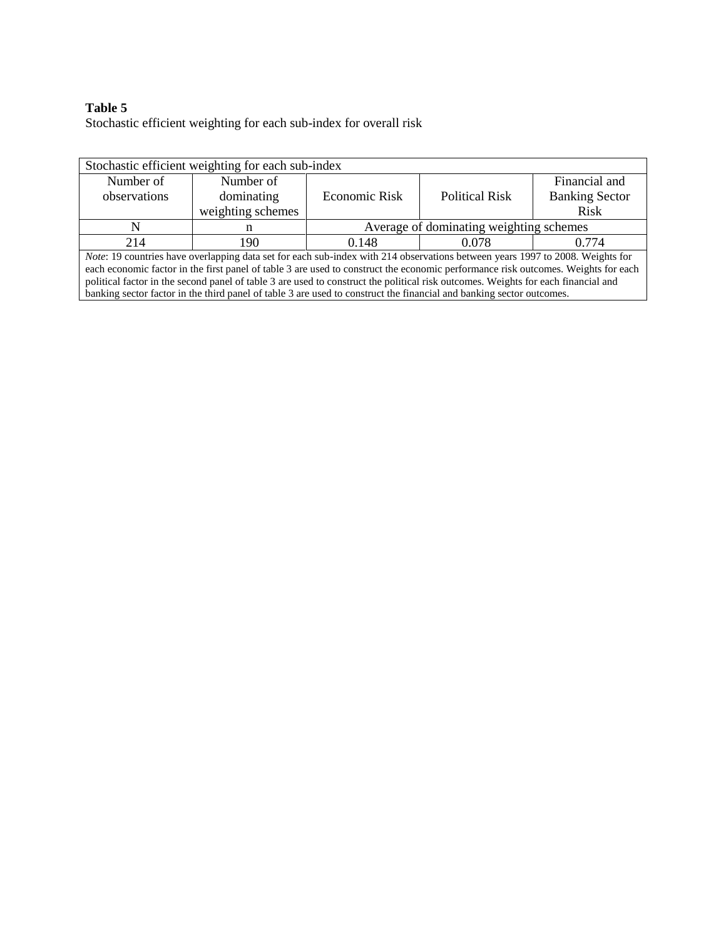### **Table 5** Stochastic efficient weighting for each sub-index for overall risk

| Stochastic efficient weighting for each sub-index                                                                                 |                                                                                                                               |                                         |                |                       |  |  |  |  |  |
|-----------------------------------------------------------------------------------------------------------------------------------|-------------------------------------------------------------------------------------------------------------------------------|-----------------------------------------|----------------|-----------------------|--|--|--|--|--|
| Number of                                                                                                                         | Number of                                                                                                                     |                                         |                | Financial and         |  |  |  |  |  |
| observations                                                                                                                      | dominating                                                                                                                    | Economic Risk                           | Political Risk | <b>Banking Sector</b> |  |  |  |  |  |
|                                                                                                                                   | weighting schemes                                                                                                             |                                         |                | <b>Risk</b>           |  |  |  |  |  |
| N                                                                                                                                 | n                                                                                                                             | Average of dominating weighting schemes |                |                       |  |  |  |  |  |
| 214                                                                                                                               | 190                                                                                                                           | 0.148<br>0.078                          |                | 0.774                 |  |  |  |  |  |
|                                                                                                                                   | Note: 19 countries have overlapping data set for each sub-index with 214 observations between years 1997 to 2008. Weights for |                                         |                |                       |  |  |  |  |  |
| each economic factor in the first panel of table 3 are used to construct the economic performance risk outcomes. Weights for each |                                                                                                                               |                                         |                |                       |  |  |  |  |  |
| political factor in the second panel of table 3 are used to construct the political risk outcomes. Weights for each financial and |                                                                                                                               |                                         |                |                       |  |  |  |  |  |
|                                                                                                                                   | banking sector factor in the third panel of table 3 are used to construct the financial and banking sector outcomes.          |                                         |                |                       |  |  |  |  |  |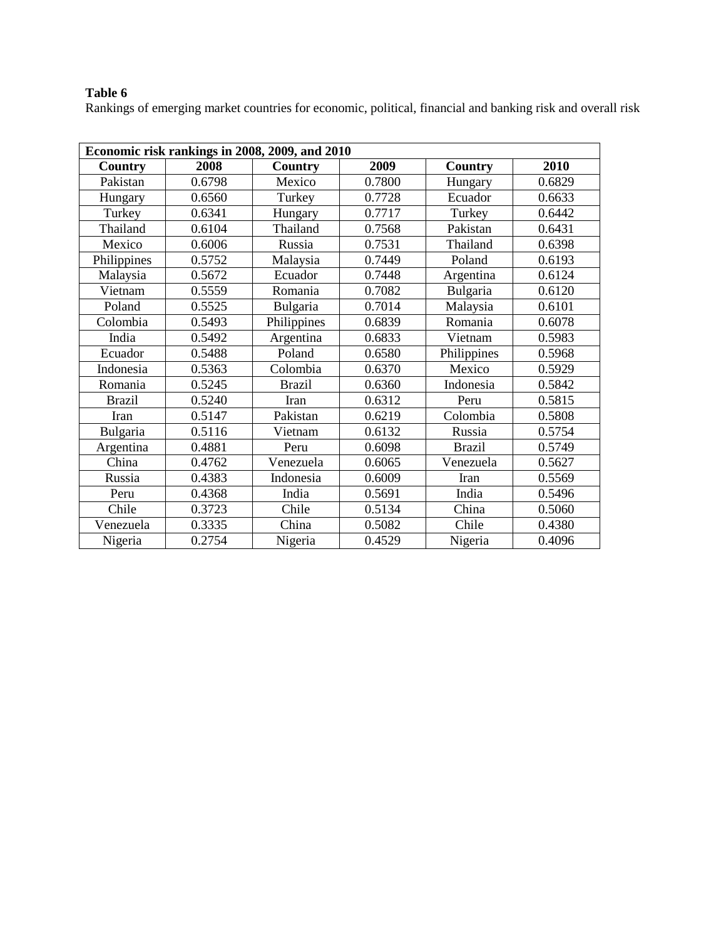Rankings of emerging market countries for economic, political, financial and banking risk and overall risk

| Economic risk rankings in 2008, 2009, and 2010 |        |               |        |               |        |  |  |  |
|------------------------------------------------|--------|---------------|--------|---------------|--------|--|--|--|
| Country                                        | 2008   | Country       | 2009   | Country       | 2010   |  |  |  |
| Pakistan                                       | 0.6798 | Mexico        | 0.7800 | Hungary       | 0.6829 |  |  |  |
| Hungary                                        | 0.6560 | Turkey        | 0.7728 | Ecuador       | 0.6633 |  |  |  |
| Turkey                                         | 0.6341 | Hungary       | 0.7717 | Turkey        | 0.6442 |  |  |  |
| Thailand                                       | 0.6104 | Thailand      | 0.7568 | Pakistan      | 0.6431 |  |  |  |
| Mexico                                         | 0.6006 | Russia        | 0.7531 | Thailand      | 0.6398 |  |  |  |
| Philippines                                    | 0.5752 | Malaysia      | 0.7449 | Poland        | 0.6193 |  |  |  |
| Malaysia                                       | 0.5672 | Ecuador       | 0.7448 | Argentina     | 0.6124 |  |  |  |
| Vietnam                                        | 0.5559 | Romania       | 0.7082 | Bulgaria      | 0.6120 |  |  |  |
| Poland                                         | 0.5525 | Bulgaria      | 0.7014 | Malaysia      | 0.6101 |  |  |  |
| Colombia                                       | 0.5493 | Philippines   | 0.6839 | Romania       | 0.6078 |  |  |  |
| India                                          | 0.5492 | Argentina     | 0.6833 | Vietnam       | 0.5983 |  |  |  |
| Ecuador                                        | 0.5488 | Poland        | 0.6580 | Philippines   | 0.5968 |  |  |  |
| Indonesia                                      | 0.5363 | Colombia      | 0.6370 | Mexico        | 0.5929 |  |  |  |
| Romania                                        | 0.5245 | <b>Brazil</b> | 0.6360 | Indonesia     | 0.5842 |  |  |  |
| <b>Brazil</b>                                  | 0.5240 | Iran          | 0.6312 | Peru          | 0.5815 |  |  |  |
| Iran                                           | 0.5147 | Pakistan      | 0.6219 | Colombia      | 0.5808 |  |  |  |
| Bulgaria                                       | 0.5116 | Vietnam       | 0.6132 | Russia        | 0.5754 |  |  |  |
| Argentina                                      | 0.4881 | Peru          | 0.6098 | <b>Brazil</b> | 0.5749 |  |  |  |
| China                                          | 0.4762 | Venezuela     | 0.6065 | Venezuela     | 0.5627 |  |  |  |
| Russia                                         | 0.4383 | Indonesia     | 0.6009 | Iran          | 0.5569 |  |  |  |
| Peru                                           | 0.4368 | India         | 0.5691 | India         | 0.5496 |  |  |  |
| Chile                                          | 0.3723 | Chile         | 0.5134 | China         | 0.5060 |  |  |  |
| Venezuela                                      | 0.3335 | China         | 0.5082 | Chile         | 0.4380 |  |  |  |
| Nigeria                                        | 0.2754 | Nigeria       | 0.4529 | Nigeria       | 0.4096 |  |  |  |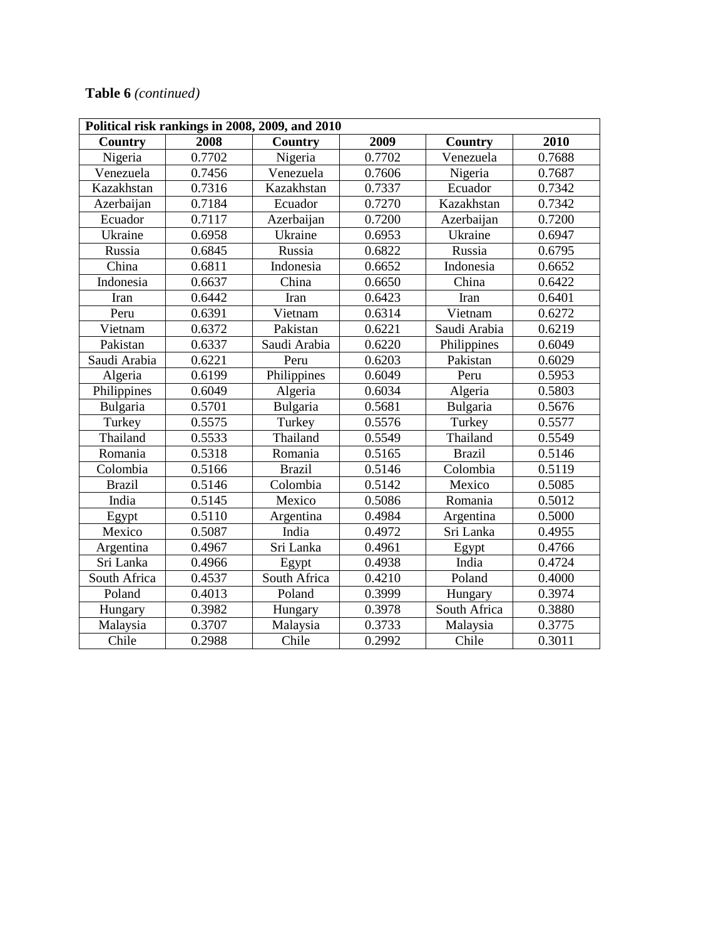# **Table 6** *(continued)*

| Political risk rankings in 2008, 2009, and 2010 |        |               |        |                |        |  |  |  |
|-------------------------------------------------|--------|---------------|--------|----------------|--------|--|--|--|
| Country                                         | 2008   | Country       | 2009   | <b>Country</b> | 2010   |  |  |  |
| Nigeria                                         | 0.7702 | Nigeria       | 0.7702 | Venezuela      | 0.7688 |  |  |  |
| Venezuela                                       | 0.7456 | Venezuela     | 0.7606 | Nigeria        | 0.7687 |  |  |  |
| Kazakhstan                                      | 0.7316 | Kazakhstan    | 0.7337 | Ecuador        | 0.7342 |  |  |  |
| Azerbaijan                                      | 0.7184 | Ecuador       | 0.7270 | Kazakhstan     | 0.7342 |  |  |  |
| Ecuador                                         | 0.7117 | Azerbaijan    | 0.7200 | Azerbaijan     | 0.7200 |  |  |  |
| Ukraine                                         | 0.6958 | Ukraine       | 0.6953 | Ukraine        | 0.6947 |  |  |  |
| Russia                                          | 0.6845 | Russia        | 0.6822 | Russia         | 0.6795 |  |  |  |
| China                                           | 0.6811 | Indonesia     | 0.6652 | Indonesia      | 0.6652 |  |  |  |
| Indonesia                                       | 0.6637 | China         | 0.6650 | China          | 0.6422 |  |  |  |
| Iran                                            | 0.6442 | Iran          | 0.6423 | Iran           | 0.6401 |  |  |  |
| Peru                                            | 0.6391 | Vietnam       | 0.6314 | Vietnam        | 0.6272 |  |  |  |
| Vietnam                                         | 0.6372 | Pakistan      | 0.6221 | Saudi Arabia   | 0.6219 |  |  |  |
| Pakistan                                        | 0.6337 | Saudi Arabia  | 0.6220 | Philippines    | 0.6049 |  |  |  |
| Saudi Arabia                                    | 0.6221 | Peru          | 0.6203 | Pakistan       | 0.6029 |  |  |  |
| Algeria                                         | 0.6199 | Philippines   | 0.6049 | Peru           | 0.5953 |  |  |  |
| Philippines                                     | 0.6049 | Algeria       | 0.6034 | Algeria        | 0.5803 |  |  |  |
| Bulgaria                                        | 0.5701 | Bulgaria      | 0.5681 | Bulgaria       | 0.5676 |  |  |  |
| Turkey                                          | 0.5575 | Turkey        | 0.5576 | Turkey         | 0.5577 |  |  |  |
| Thailand                                        | 0.5533 | Thailand      | 0.5549 | Thailand       | 0.5549 |  |  |  |
| Romania                                         | 0.5318 | Romania       | 0.5165 | <b>Brazil</b>  | 0.5146 |  |  |  |
| Colombia                                        | 0.5166 | <b>Brazil</b> | 0.5146 | Colombia       | 0.5119 |  |  |  |
| <b>Brazil</b>                                   | 0.5146 | Colombia      | 0.5142 | Mexico         | 0.5085 |  |  |  |
| India                                           | 0.5145 | Mexico        | 0.5086 | Romania        | 0.5012 |  |  |  |
| Egypt                                           | 0.5110 | Argentina     | 0.4984 | Argentina      | 0.5000 |  |  |  |
| Mexico                                          | 0.5087 | India         | 0.4972 | Sri Lanka      | 0.4955 |  |  |  |
| Argentina                                       | 0.4967 | Sri Lanka     | 0.4961 | Egypt          | 0.4766 |  |  |  |
| Sri Lanka                                       | 0.4966 | Egypt         | 0.4938 | India          | 0.4724 |  |  |  |
| South Africa                                    | 0.4537 | South Africa  | 0.4210 | Poland         | 0.4000 |  |  |  |
| Poland                                          | 0.4013 | Poland        | 0.3999 | Hungary        | 0.3974 |  |  |  |
| Hungary                                         | 0.3982 | Hungary       | 0.3978 | South Africa   | 0.3880 |  |  |  |
| Malaysia                                        | 0.3707 | Malaysia      | 0.3733 | Malaysia       | 0.3775 |  |  |  |
| Chile                                           | 0.2988 | Chile         | 0.2992 | Chile          | 0.3011 |  |  |  |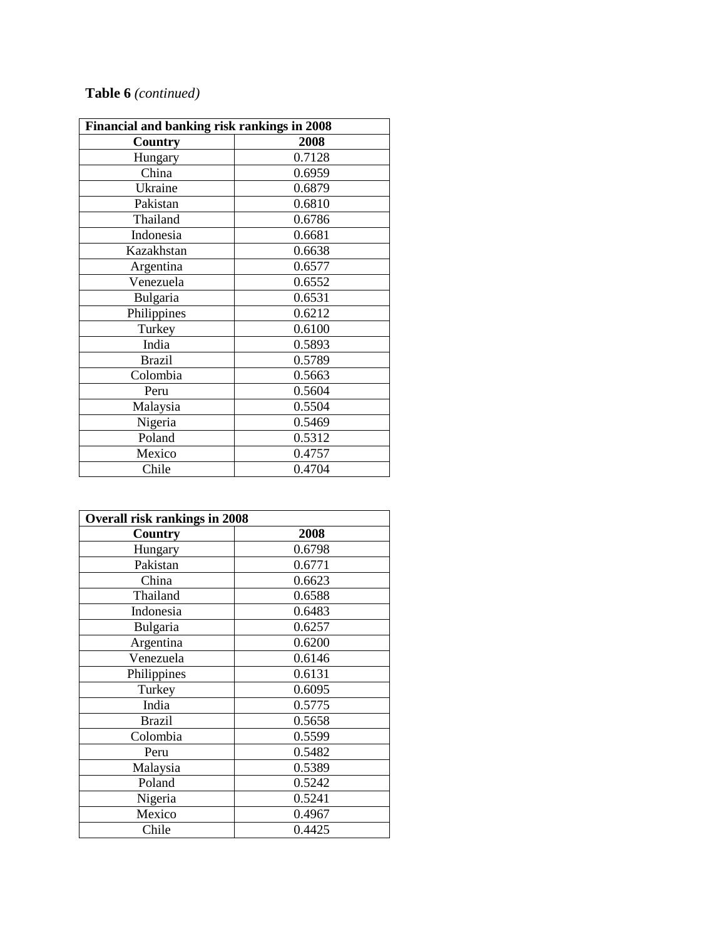# **Table 6** *(continued)*

| Financial and banking risk rankings in 2008 |        |  |  |  |  |  |
|---------------------------------------------|--------|--|--|--|--|--|
| Country                                     | 2008   |  |  |  |  |  |
| Hungary                                     | 0.7128 |  |  |  |  |  |
| China                                       | 0.6959 |  |  |  |  |  |
| Ukraine                                     | 0.6879 |  |  |  |  |  |
| Pakistan                                    | 0.6810 |  |  |  |  |  |
| Thailand                                    | 0.6786 |  |  |  |  |  |
| Indonesia                                   | 0.6681 |  |  |  |  |  |
| Kazakhstan                                  | 0.6638 |  |  |  |  |  |
| Argentina                                   | 0.6577 |  |  |  |  |  |
| Venezuela                                   | 0.6552 |  |  |  |  |  |
| Bulgaria                                    | 0.6531 |  |  |  |  |  |
| Philippines                                 | 0.6212 |  |  |  |  |  |
| Turkey                                      | 0.6100 |  |  |  |  |  |
| India                                       | 0.5893 |  |  |  |  |  |
| <b>Brazil</b>                               | 0.5789 |  |  |  |  |  |
| Colombia                                    | 0.5663 |  |  |  |  |  |
| Peru                                        | 0.5604 |  |  |  |  |  |
| Malaysia                                    | 0.5504 |  |  |  |  |  |
| Nigeria                                     | 0.5469 |  |  |  |  |  |
| Poland                                      | 0.5312 |  |  |  |  |  |
| Mexico                                      | 0.4757 |  |  |  |  |  |
| Chile                                       | 0.4704 |  |  |  |  |  |

| <b>Overall risk rankings in 2008</b> |        |  |  |  |  |  |  |
|--------------------------------------|--------|--|--|--|--|--|--|
| <b>Country</b>                       | 2008   |  |  |  |  |  |  |
| Hungary                              | 0.6798 |  |  |  |  |  |  |
| Pakistan                             | 0.6771 |  |  |  |  |  |  |
| China                                | 0.6623 |  |  |  |  |  |  |
| Thailand                             | 0.6588 |  |  |  |  |  |  |
| Indonesia                            | 0.6483 |  |  |  |  |  |  |
| Bulgaria                             | 0.6257 |  |  |  |  |  |  |
| Argentina                            | 0.6200 |  |  |  |  |  |  |
| Venezuela                            | 0.6146 |  |  |  |  |  |  |
| Philippines                          | 0.6131 |  |  |  |  |  |  |
| Turkey                               | 0.6095 |  |  |  |  |  |  |
| India                                | 0.5775 |  |  |  |  |  |  |
| <b>Brazil</b>                        | 0.5658 |  |  |  |  |  |  |
| Colombia                             | 0.5599 |  |  |  |  |  |  |
| Peru                                 | 0.5482 |  |  |  |  |  |  |
| Malaysia                             | 0.5389 |  |  |  |  |  |  |
| Poland                               | 0.5242 |  |  |  |  |  |  |
| Nigeria                              | 0.5241 |  |  |  |  |  |  |
| Mexico                               | 0.4967 |  |  |  |  |  |  |
| Chile                                | 0.4425 |  |  |  |  |  |  |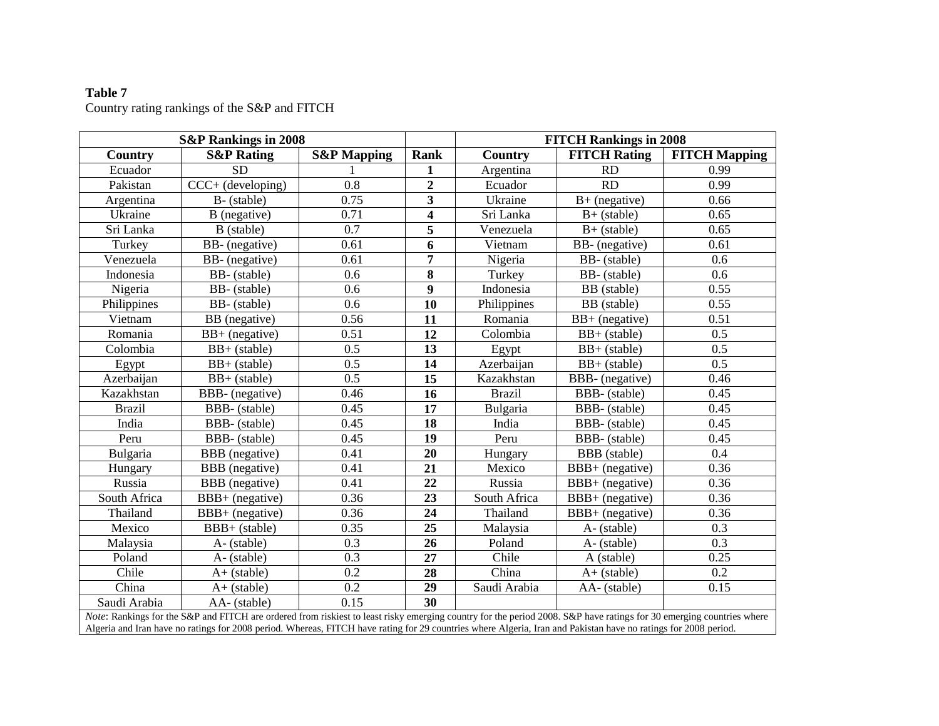### **Table 7** Country rating rankings of the S&P and FITCH

| <b>S&amp;P Rankings in 2008</b>                            |                                                                                                                                                                                                                                                                                                                                         |      |                         | <b>FITCH Rankings in 2008</b> |                     |                      |  |
|------------------------------------------------------------|-----------------------------------------------------------------------------------------------------------------------------------------------------------------------------------------------------------------------------------------------------------------------------------------------------------------------------------------|------|-------------------------|-------------------------------|---------------------|----------------------|--|
| <b>S&amp;P Rating</b><br>Country<br><b>S&amp;P Mapping</b> |                                                                                                                                                                                                                                                                                                                                         |      | <b>Rank</b>             | Country                       | <b>FITCH Rating</b> | <b>FITCH Mapping</b> |  |
| Ecuador                                                    | <b>SD</b>                                                                                                                                                                                                                                                                                                                               |      | 1                       | Argentina                     | RD                  | 0.99                 |  |
| Pakistan                                                   | $CCC+$ (developing)                                                                                                                                                                                                                                                                                                                     | 0.8  | $\overline{2}$          | Ecuador                       | <b>RD</b>           | 0.99                 |  |
| Argentina                                                  | B- (stable)                                                                                                                                                                                                                                                                                                                             | 0.75 | $\overline{\mathbf{3}}$ | Ukraine                       | $B+$ (negative)     | 0.66                 |  |
| Ukraine                                                    | B (negative)                                                                                                                                                                                                                                                                                                                            | 0.71 | $\overline{\mathbf{4}}$ | Sri Lanka                     | $B+$ (stable)       | 0.65                 |  |
| Sri Lanka                                                  | B (stable)                                                                                                                                                                                                                                                                                                                              | 0.7  | 5                       | Venezuela                     | $B+$ (stable)       | 0.65                 |  |
| Turkey                                                     | BB- (negative)                                                                                                                                                                                                                                                                                                                          | 0.61 | 6                       | Vietnam                       | BB- (negative)      | 0.61                 |  |
| Venezuela                                                  | BB- (negative)                                                                                                                                                                                                                                                                                                                          | 0.61 | 7                       | Nigeria                       | BB- (stable)        | 0.6                  |  |
| Indonesia                                                  | BB- (stable)                                                                                                                                                                                                                                                                                                                            | 0.6  | 8                       | Turkey                        | BB- (stable)        | 0.6                  |  |
| Nigeria                                                    | BB- (stable)                                                                                                                                                                                                                                                                                                                            | 0.6  | 9                       | Indonesia                     | BB (stable)         | 0.55                 |  |
| Philippines                                                | BB- (stable)                                                                                                                                                                                                                                                                                                                            | 0.6  | 10                      | Philippines                   | BB (stable)         | 0.55                 |  |
| Vietnam                                                    | BB (negative)                                                                                                                                                                                                                                                                                                                           | 0.56 | 11                      | Romania                       | $BB+$ (negative)    | 0.51                 |  |
| Romania                                                    | $BB+$ (negative)                                                                                                                                                                                                                                                                                                                        | 0.51 | 12                      | Colombia                      | $BB+$ (stable)      | 0.5                  |  |
| Colombia                                                   | $BB+$ (stable)                                                                                                                                                                                                                                                                                                                          | 0.5  | 13                      | Egypt                         | $BB+$ (stable)      | 0.5                  |  |
| Egypt                                                      | $BB+$ (stable)                                                                                                                                                                                                                                                                                                                          | 0.5  | 14                      | Azerbaijan                    | $BB+$ (stable)      | $\overline{0.5}$     |  |
| Azerbaijan                                                 | $BB+$ (stable)                                                                                                                                                                                                                                                                                                                          | 0.5  | 15                      | Kazakhstan                    | BBB- (negative)     | 0.46                 |  |
| Kazakhstan                                                 | BBB- (negative)                                                                                                                                                                                                                                                                                                                         | 0.46 | 16                      | <b>Brazil</b>                 | BBB- (stable)       | 0.45                 |  |
| <b>Brazil</b>                                              | BBB- (stable)                                                                                                                                                                                                                                                                                                                           | 0.45 | 17                      | Bulgaria                      | BBB- (stable)       | 0.45                 |  |
| India                                                      | BBB- (stable)                                                                                                                                                                                                                                                                                                                           | 0.45 | 18                      | India                         | BBB- (stable)       | 0.45                 |  |
| Peru                                                       | BBB- (stable)                                                                                                                                                                                                                                                                                                                           | 0.45 | 19                      | Peru                          | BBB- (stable)       | 0.45                 |  |
| Bulgaria                                                   | <b>BBB</b> (negative)                                                                                                                                                                                                                                                                                                                   | 0.41 | 20                      | Hungary                       | <b>BBB</b> (stable) | 0.4                  |  |
| Hungary                                                    | <b>BBB</b> (negative)                                                                                                                                                                                                                                                                                                                   | 0.41 | 21                      | Mexico                        | $BBB+$ (negative)   | 0.36                 |  |
| Russia                                                     | <b>BBB</b> (negative)                                                                                                                                                                                                                                                                                                                   | 0.41 | 22                      | Russia                        | BBB+ (negative)     | 0.36                 |  |
| South Africa                                               | BBB+ (negative)                                                                                                                                                                                                                                                                                                                         | 0.36 | 23                      | South Africa                  | BBB+ (negative)     | 0.36                 |  |
| Thailand                                                   | $BBB+$ (negative)                                                                                                                                                                                                                                                                                                                       | 0.36 | 24                      | Thailand                      | BBB+ (negative)     | 0.36                 |  |
| Mexico                                                     | BBB+ (stable)                                                                                                                                                                                                                                                                                                                           | 0.35 | 25                      | Malaysia                      | A- (stable)         | 0.3                  |  |
| Malaysia                                                   | A- (stable)                                                                                                                                                                                                                                                                                                                             | 0.3  | 26                      | Poland                        | A- (stable)         | 0.3                  |  |
| Poland                                                     | A- (stable)                                                                                                                                                                                                                                                                                                                             | 0.3  | 27                      | Chile                         | A (stable)          | 0.25                 |  |
| Chile                                                      | $A+$ (stable)                                                                                                                                                                                                                                                                                                                           | 0.2  | 28                      | China                         | $A+$ (stable)       | 0.2                  |  |
| China                                                      | $A+$ (stable)                                                                                                                                                                                                                                                                                                                           | 0.2  | 29                      | Saudi Arabia                  | AA- (stable)        | 0.15                 |  |
| Saudi Arabia                                               | AA-(stable)                                                                                                                                                                                                                                                                                                                             | 0.15 | $\overline{30}$         |                               |                     |                      |  |
|                                                            | Note: Rankings for the S&P and FITCH are ordered from riskiest to least risky emerging country for the period 2008. S&P have ratings for 30 emerging countries where<br>Algeria and Iran have no ratings for 2008 period. Whereas, FITCH have rating for 29 countries where Algeria, Iran and Pakistan have no ratings for 2008 period. |      |                         |                               |                     |                      |  |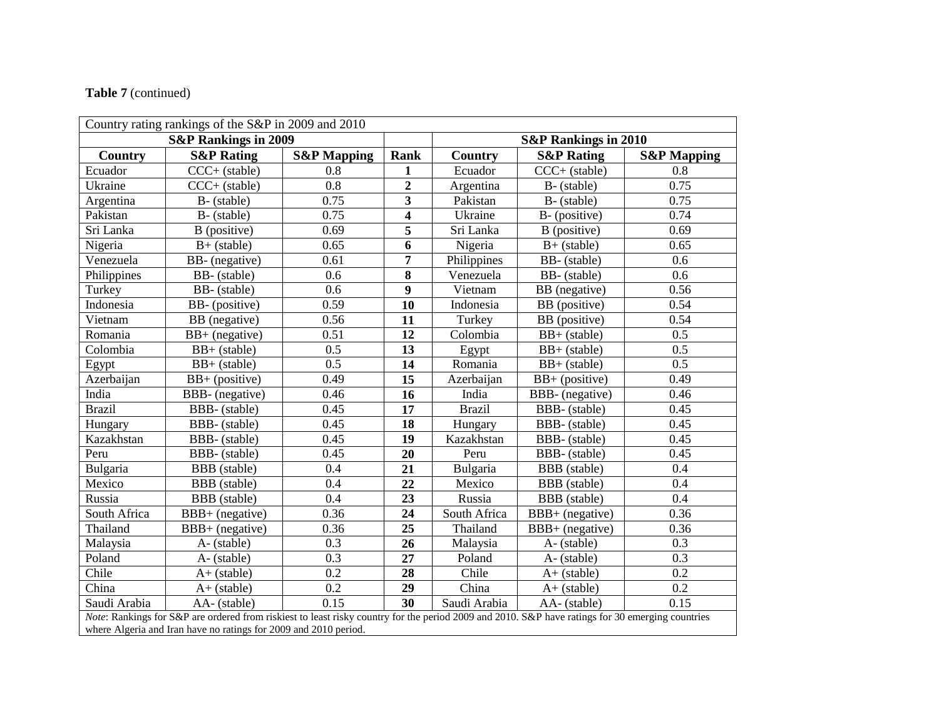### **Table 7** (continued)

| Country rating rankings of the S&P in 2009 and 2010 |                                                                                                                                                                                                                      |                        |                  |                |                                 |                        |  |  |
|-----------------------------------------------------|----------------------------------------------------------------------------------------------------------------------------------------------------------------------------------------------------------------------|------------------------|------------------|----------------|---------------------------------|------------------------|--|--|
|                                                     | <b>S&amp;P Rankings in 2009</b>                                                                                                                                                                                      |                        |                  |                | <b>S&amp;P Rankings in 2010</b> |                        |  |  |
| Country                                             | <b>S&amp;P Rating</b>                                                                                                                                                                                                | <b>S&amp;P Mapping</b> | <b>Rank</b>      | <b>Country</b> | <b>S&amp;P Rating</b>           | <b>S&amp;P</b> Mapping |  |  |
| Ecuador                                             | $CCC+ (stable)$                                                                                                                                                                                                      | 0.8                    | 1                | Ecuador        | $CCC+ (stable)$                 | 0.8                    |  |  |
| Ukraine                                             | $CCC+ (stable)$                                                                                                                                                                                                      | 0.8                    | $\overline{2}$   | Argentina      | B- (stable)                     | 0.75                   |  |  |
| Argentina                                           | B- (stable)                                                                                                                                                                                                          | 0.75                   | 3                | Pakistan       | B- (stable)                     | 0.75                   |  |  |
| Pakistan                                            | B- (stable)                                                                                                                                                                                                          | 0.75                   | 4                | Ukraine        | B- (positive)                   | 0.74                   |  |  |
| Sri Lanka                                           | B (positive)                                                                                                                                                                                                         | 0.69                   | 5                | Sri Lanka      | B (positive)                    | 0.69                   |  |  |
| Nigeria                                             | $B+$ (stable)                                                                                                                                                                                                        | 0.65                   | 6                | Nigeria        | $B+$ (stable)                   | 0.65                   |  |  |
| Venezuela                                           | BB- (negative)                                                                                                                                                                                                       | 0.61                   | 7                | Philippines    | BB- (stable)                    | 0.6                    |  |  |
| Philippines                                         | BB- (stable)                                                                                                                                                                                                         | 0.6                    | 8                | Venezuela      | BB- (stable)                    | 0.6                    |  |  |
| Turkey                                              | BB- (stable)                                                                                                                                                                                                         | 0.6                    | $\boldsymbol{9}$ | Vietnam        | BB (negative)                   | 0.56                   |  |  |
| Indonesia                                           | BB- (positive)                                                                                                                                                                                                       | 0.59                   | 10               | Indonesia      | BB (positive)                   | 0.54                   |  |  |
| Vietnam                                             | BB (negative)                                                                                                                                                                                                        | 0.56                   | 11               | Turkey         | BB (positive)                   | 0.54                   |  |  |
| Romania                                             | $BB+$ (negative)                                                                                                                                                                                                     | 0.51                   | 12               | Colombia       | $BB+$ (stable)                  | 0.5                    |  |  |
| Colombia                                            | BB+ (stable)                                                                                                                                                                                                         | 0.5                    | 13               | Egypt          | $BB+$ (stable)                  | 0.5                    |  |  |
| Egypt                                               | $BB+$ (stable)                                                                                                                                                                                                       | 0.5                    | 14               | Romania        | $BB+$ (stable)                  | 0.5                    |  |  |
| Azerbaijan                                          | $BB+$ (positive)                                                                                                                                                                                                     | 0.49                   | 15               | Azerbaijan     | $BB+$ (positive)                | 0.49                   |  |  |
| India                                               | BBB- (negative)                                                                                                                                                                                                      | 0.46                   | 16               | India          | BBB- (negative)                 | 0.46                   |  |  |
| <b>Brazil</b>                                       | BBB- (stable)                                                                                                                                                                                                        | 0.45                   | 17               | <b>Brazil</b>  | BBB- (stable)                   | 0.45                   |  |  |
| Hungary                                             | BBB- (stable)                                                                                                                                                                                                        | 0.45                   | 18               | Hungary        | BBB- (stable)                   | 0.45                   |  |  |
| Kazakhstan                                          | BBB- (stable)                                                                                                                                                                                                        | 0.45                   | 19               | Kazakhstan     | BBB- (stable)                   | 0.45                   |  |  |
| Peru                                                | BBB- (stable)                                                                                                                                                                                                        | 0.45                   | 20               | Peru           | BBB- (stable)                   | 0.45                   |  |  |
| <b>Bulgaria</b>                                     | <b>BBB</b> (stable)                                                                                                                                                                                                  | 0.4                    | 21               | Bulgaria       | <b>BBB</b> (stable)             | 0.4                    |  |  |
| Mexico                                              | <b>BBB</b> (stable)                                                                                                                                                                                                  | 0.4                    | 22               | Mexico         | <b>BBB</b> (stable)             | 0.4                    |  |  |
| Russia                                              | BBB (stable)                                                                                                                                                                                                         | 0.4                    | 23               | Russia         | <b>BBB</b> (stable)             | 0.4                    |  |  |
| South Africa                                        | $BBB+$ (negative)                                                                                                                                                                                                    | 0.36                   | 24               | South Africa   | BBB+ (negative)                 | 0.36                   |  |  |
| Thailand                                            | BBB+ (negative)                                                                                                                                                                                                      | 0.36                   | 25               | Thailand       | BBB+ (negative)                 | 0.36                   |  |  |
| Malaysia                                            | A- (stable)                                                                                                                                                                                                          | 0.3                    | 26               | Malaysia       | A-(stable)                      | 0.3                    |  |  |
| Poland                                              | A- (stable)                                                                                                                                                                                                          | 0.3                    | 27               | Poland         | A- (stable)                     | 0.3                    |  |  |
| Chile                                               | $A+$ (stable)                                                                                                                                                                                                        | 0.2                    | 28               | Chile          | $A+$ (stable)                   | 0.2                    |  |  |
| China                                               | $A+$ (stable)                                                                                                                                                                                                        | $\overline{0.2}$       | 29               | China          | $A+$ (stable)                   | 0.2                    |  |  |
| Saudi Arabia                                        | AA-(stable)                                                                                                                                                                                                          | 0.15                   | 30               | Saudi Arabia   | AA-(stable)                     | 0.15                   |  |  |
|                                                     | Note: Rankings for S&P are ordered from riskiest to least risky country for the period 2009 and 2010. S&P have ratings for 30 emerging countries<br>where Algeria and Iran have no ratings for 2009 and 2010 period. |                        |                  |                |                                 |                        |  |  |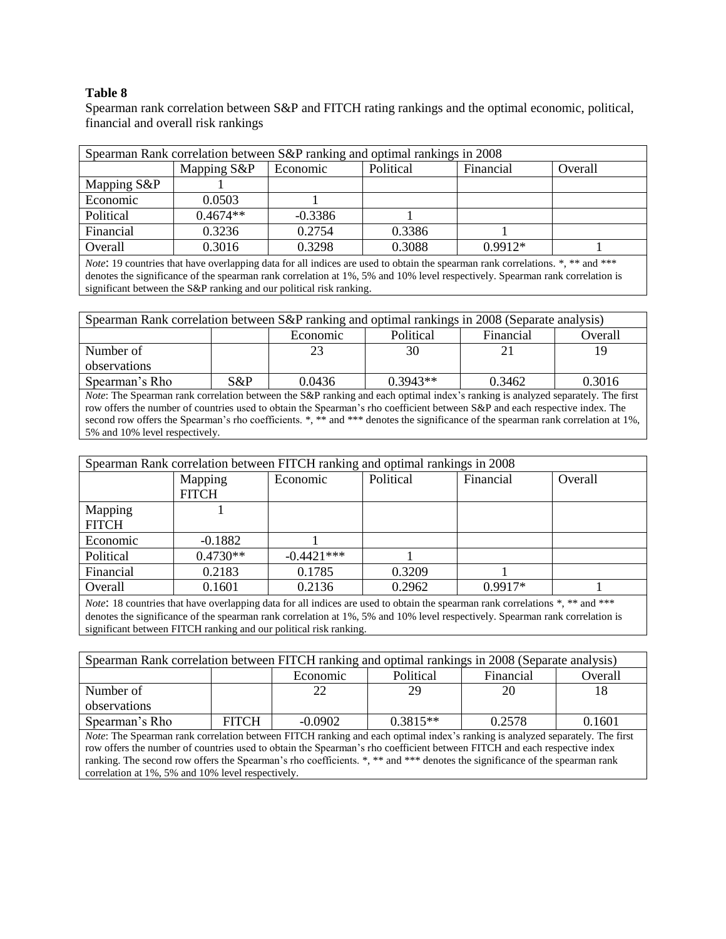Spearman rank correlation between S&P and FITCH rating rankings and the optimal economic, political, financial and overall risk rankings

| Spearman Rank correlation between S&P ranking and optimal rankings in 2008                                                            |             |           |           |           |         |  |  |  |
|---------------------------------------------------------------------------------------------------------------------------------------|-------------|-----------|-----------|-----------|---------|--|--|--|
|                                                                                                                                       | Mapping S&P | Economic  | Political | Financial | Overall |  |  |  |
| Mapping S&P                                                                                                                           |             |           |           |           |         |  |  |  |
| Economic                                                                                                                              | 0.0503      |           |           |           |         |  |  |  |
| Political                                                                                                                             | $0.4674**$  | $-0.3386$ |           |           |         |  |  |  |
| Financial                                                                                                                             | 0.3236      | 0.2754    | 0.3386    |           |         |  |  |  |
| Overall                                                                                                                               | 0.3016      | 0.3298    | 0.3088    | $0.9912*$ |         |  |  |  |
| <i>Note:</i> 19 countries that have overlapping data for all indices are used to obtain the spearman rank correlations. *, ** and *** |             |           |           |           |         |  |  |  |

denotes the significance of the spearman rank correlation at 1%, 5% and 10% level respectively. Spearman rank correlation is significant between the S&P ranking and our political risk ranking.

| Spearman Rank correlation between S&P ranking and optimal rankings in 2008 (Separate analysis) |  |  |
|------------------------------------------------------------------------------------------------|--|--|
|                                                                                                |  |  |

|                                        |     | Economic              | Political                          | Financial  | Overall           |  |  |  |
|----------------------------------------|-----|-----------------------|------------------------------------|------------|-------------------|--|--|--|
| Number of                              |     | ن                     | 30                                 | <u> 41</u> |                   |  |  |  |
| observations                           |     |                       |                                    |            |                   |  |  |  |
| Spearman's Rho                         | S&P | 0.0436                | $0.3943**$                         | 0.3462     | 0.3016            |  |  |  |
| $\mathbf{v}$ $\mathbf{m}$ $\mathbf{c}$ |     | $\alpha$<br>$\cdot$ 1 | $\cdots$ , and the set of $\cdots$ |            | <b>CONTRACTOR</b> |  |  |  |

*Note*: The Spearman rank correlation between the S&P ranking and each optimal index's ranking is analyzed separately. The first row offers the number of countries used to obtain the Spearman's rho coefficient between S&P and each respective index. The second row offers the Spearman's rho coefficients. \*, \*\* and \*\*\* denotes the significance of the spearman rank correlation at 1%, 5% and 10% level respectively.

| Spearman Rank correlation between FITCH ranking and optimal rankings in 2008 |                         |              |           |           |                |  |  |  |
|------------------------------------------------------------------------------|-------------------------|--------------|-----------|-----------|----------------|--|--|--|
|                                                                              | Mapping<br><b>FITCH</b> | Economic     | Political | Financial | <b>Overall</b> |  |  |  |
| Mapping<br><b>FITCH</b>                                                      |                         |              |           |           |                |  |  |  |
| Economic                                                                     | $-0.1882$               |              |           |           |                |  |  |  |
| Political                                                                    | $0.4730**$              | $-0.4421***$ |           |           |                |  |  |  |
| Financial                                                                    | 0.2183                  | 0.1785       | 0.3209    |           |                |  |  |  |
| Overall                                                                      | 0.1601                  | 0.2136       | 0.2962    | $0.9917*$ |                |  |  |  |

*Note*: 18 countries that have overlapping data for all indices are used to obtain the spearman rank correlations \*, \*\* and \*\*\* denotes the significance of the spearman rank correlation at 1%, 5% and 10% level respectively. Spearman rank correlation is significant between FITCH ranking and our political risk ranking.

| Spearman Rank correlation between FITCH ranking and optimal rankings in 2008 (Separate analysis)                             |              |           |            |           |                |
|------------------------------------------------------------------------------------------------------------------------------|--------------|-----------|------------|-----------|----------------|
|                                                                                                                              |              | Economic  | Political  | Financial | <b>Overall</b> |
| Number of                                                                                                                    |              | 22        | 29         | 20        | 18             |
| observations                                                                                                                 |              |           |            |           |                |
| Spearman's Rho                                                                                                               | <b>FITCH</b> | $-0.0902$ | $0.3815**$ | 0.2578    | 0.1601         |
| Note: The Spearman rank correlation between FITCH ranking and each optimal index's ranking is analyzed separately. The first |              |           |            |           |                |
| row offers the number of countries used to obtain the Spearman's rho coefficient between FITCH and each respective index     |              |           |            |           |                |
| ranking. The second row offers the Spearman's rho coefficients. *, ** and *** denotes the significance of the spearman rank  |              |           |            |           |                |
| correlation at 1%, 5% and 10% level respectively.                                                                            |              |           |            |           |                |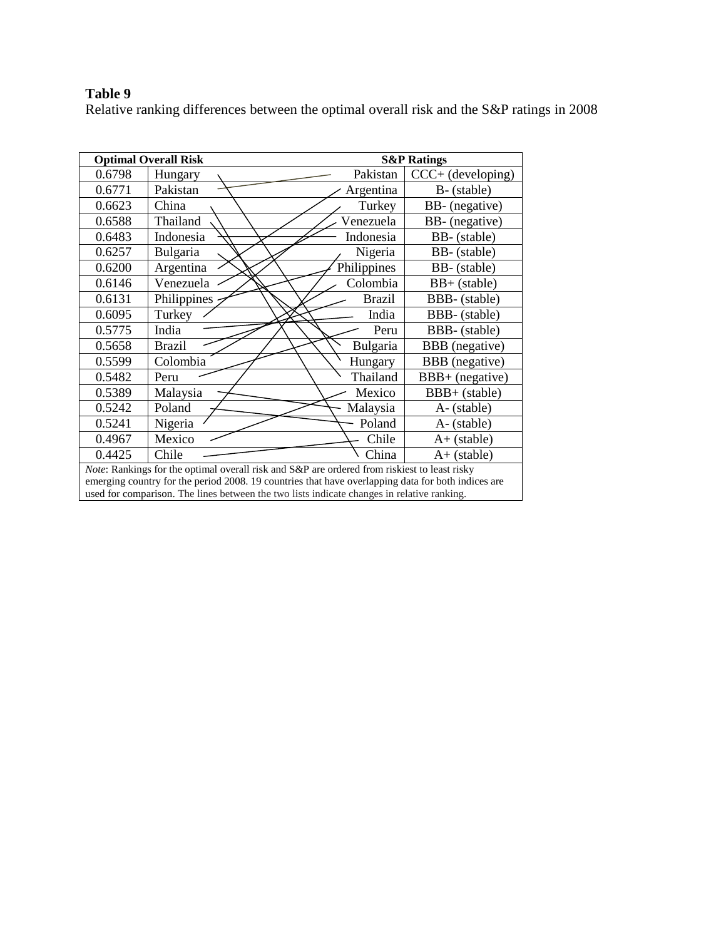Relative ranking differences between the optimal overall risk and the S&P ratings in 2008

| <b>Optimal Overall Risk</b>                                                                                                                                                                                                                                                                      |               | <b>S&amp;P Ratings</b> |                       |  |
|--------------------------------------------------------------------------------------------------------------------------------------------------------------------------------------------------------------------------------------------------------------------------------------------------|---------------|------------------------|-----------------------|--|
| 0.6798                                                                                                                                                                                                                                                                                           | Hungary       | Pakistan               | $CCC+$ (developing)   |  |
| 0.6771                                                                                                                                                                                                                                                                                           | Pakistan      | Argentina              | B- (stable)           |  |
| 0.6623                                                                                                                                                                                                                                                                                           | China         | Turkey                 | BB- (negative)        |  |
| 0.6588                                                                                                                                                                                                                                                                                           | Thailand      | Venezuela              | BB- (negative)        |  |
| 0.6483                                                                                                                                                                                                                                                                                           | Indonesia     | Indonesia              | BB- (stable)          |  |
| 0.6257                                                                                                                                                                                                                                                                                           | Bulgaria      | Nigeria                | BB- (stable)          |  |
| 0.6200                                                                                                                                                                                                                                                                                           | Argentina     | Philippines            | BB- (stable)          |  |
| 0.6146                                                                                                                                                                                                                                                                                           | Venezuela     | Colombia               | $BB+$ (stable)        |  |
| 0.6131                                                                                                                                                                                                                                                                                           | Philippines   | <b>Brazil</b>          | BBB- (stable)         |  |
| 0.6095                                                                                                                                                                                                                                                                                           | Turkey        | India                  | BBB- (stable)         |  |
| 0.5775                                                                                                                                                                                                                                                                                           | India         | Peru                   | BBB- (stable)         |  |
| 0.5658                                                                                                                                                                                                                                                                                           | <b>Brazil</b> | Bulgaria               | <b>BBB</b> (negative) |  |
| 0.5599                                                                                                                                                                                                                                                                                           | Colombia      | Hungary                | <b>BBB</b> (negative) |  |
| 0.5482                                                                                                                                                                                                                                                                                           | Peru          | Thailand               | $BBB+$ (negative)     |  |
| 0.5389                                                                                                                                                                                                                                                                                           | Malaysia      | Mexico                 | $BBB+ (stable)$       |  |
| 0.5242                                                                                                                                                                                                                                                                                           | Poland        | Malaysia               | A- (stable)           |  |
| 0.5241                                                                                                                                                                                                                                                                                           | Nigeria       | Poland                 | A- (stable)           |  |
| 0.4967                                                                                                                                                                                                                                                                                           | Mexico        | Chile                  | $A+$ (stable)         |  |
| 0.4425                                                                                                                                                                                                                                                                                           | Chile         | China                  | $A+$ (stable)         |  |
| Note: Rankings for the optimal overall risk and S&P are ordered from riskiest to least risky<br>emerging country for the period 2008. 19 countries that have overlapping data for both indices are<br>used for comparison. The lines between the two lists indicate changes in relative ranking. |               |                        |                       |  |